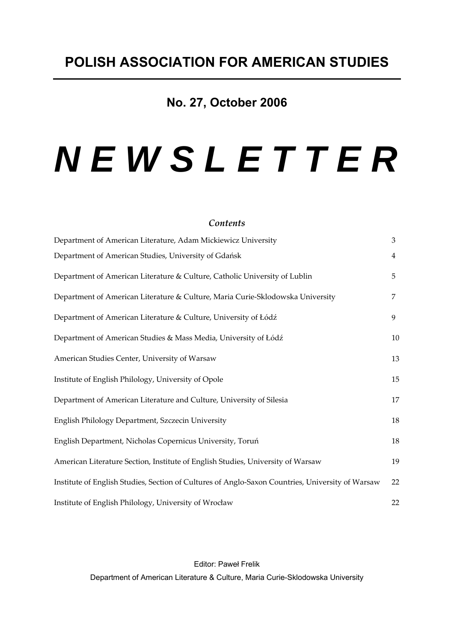# **No. 27, October 2006**

# *N E W S L E T T E R*

## *Contents*

| Department of American Literature, Adam Mickiewicz University                                    | 3              |
|--------------------------------------------------------------------------------------------------|----------------|
| Department of American Studies, University of Gdańsk                                             | $\overline{4}$ |
| Department of American Literature & Culture, Catholic University of Lublin                       | 5              |
| Department of American Literature & Culture, Maria Curie-Sklodowska University                   | 7              |
| Department of American Literature & Culture, University of Łódź                                  | 9              |
| Department of American Studies & Mass Media, University of Łódź                                  | 10             |
| American Studies Center, University of Warsaw                                                    | 13             |
| Institute of English Philology, University of Opole                                              | 15             |
| Department of American Literature and Culture, University of Silesia                             | 17             |
| English Philology Department, Szczecin University                                                | 18             |
| English Department, Nicholas Copernicus University, Toruń                                        | 18             |
| American Literature Section, Institute of English Studies, University of Warsaw                  | 19             |
| Institute of English Studies, Section of Cultures of Anglo-Saxon Countries, University of Warsaw | 22             |
| Institute of English Philology, University of Wrocław                                            | 22             |

Editor: Paweł Frelik Department of American Literature & Culture, Maria Curie-Sklodowska University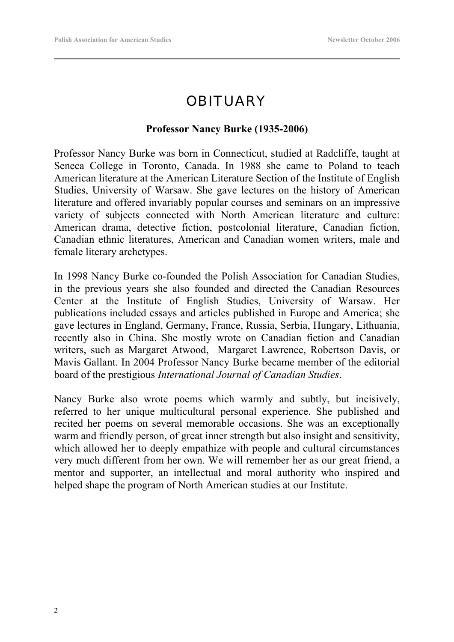# **OBITUARY**

## **Professor Nancy Burke (1935-2006)**

Professor Nancy Burke was born in Connecticut, studied at Radcliffe, taught at Seneca College in Toronto, Canada. In 1988 she came to Poland to teach American literature at the American Literature Section of the Institute of English Studies, University of Warsaw. She gave lectures on the history of American literature and offered invariably popular courses and seminars on an impressive variety of subjects connected with North American literature and culture: American drama, detective fiction, postcolonial literature, Canadian fiction, Canadian ethnic literatures, American and Canadian women writers, male and female literary archetypes.

In 1998 Nancy Burke co-founded the Polish Association for Canadian Studies, in the previous years she also founded and directed the Canadian Resources Center at the Institute of English Studies, University of Warsaw. Her publications included essays and articles published in Europe and America; she gave lectures in England, Germany, France, Russia, Serbia, Hungary, Lithuania, recently also in China. She mostly wrote on Canadian fiction and Canadian writers, such as Margaret Atwood, Margaret Lawrence, Robertson Davis, or Mavis Gallant. In 2004 Professor Nancy Burke became member of the editorial board of the prestigious *International Journal of Canadian Studies*.

Nancy Burke also wrote poems which warmly and subtly, but incisively, referred to her unique multicultural personal experience. She published and recited her poems on several memorable occasions. She was an exceptionally warm and friendly person, of great inner strength but also insight and sensitivity, which allowed her to deeply empathize with people and cultural circumstances very much different from her own. We will remember her as our great friend, a mentor and supporter, an intellectual and moral authority who inspired and helped shape the program of North American studies at our Institute.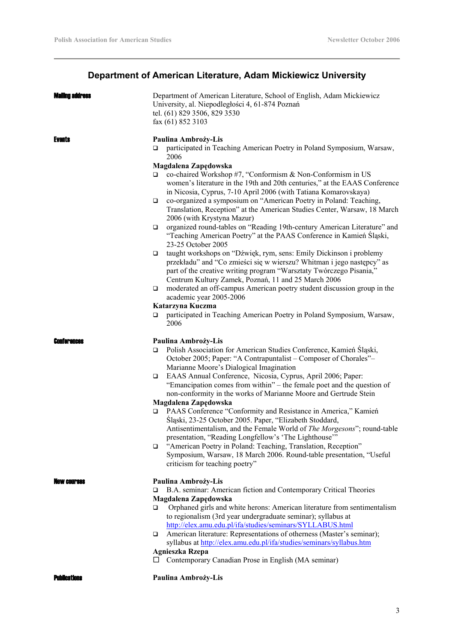# **Department of American Literature, Adam Mickiewicz University**

| Maling address      | Department of American Literature, School of English, Adam Mickiewicz<br>University, al. Niepodległości 4, 61-874 Poznań<br>tel. (61) 829 3506, 829 3530<br>fax (61) 852 3103                                                                                                                                                                                                                                                                                                                                                                                                                                                                                                                                                                                                                                                                                                                                                                                                                                                                                                                                                                                                                                                       |
|---------------------|-------------------------------------------------------------------------------------------------------------------------------------------------------------------------------------------------------------------------------------------------------------------------------------------------------------------------------------------------------------------------------------------------------------------------------------------------------------------------------------------------------------------------------------------------------------------------------------------------------------------------------------------------------------------------------------------------------------------------------------------------------------------------------------------------------------------------------------------------------------------------------------------------------------------------------------------------------------------------------------------------------------------------------------------------------------------------------------------------------------------------------------------------------------------------------------------------------------------------------------|
| Events              | Paulina Ambroży-Lis<br>participated in Teaching American Poetry in Poland Symposium, Warsaw,<br>□<br>2006<br>Magdalena Zapędowska<br>co-chaired Workshop #7, "Conformism & Non-Conformism in US<br>□<br>women's literature in the 19th and 20th centuries," at the EAAS Conference<br>in Nicosia, Cyprus, 7-10 April 2006 (with Tatiana Komarovskaya)<br>co-organized a symposium on "American Poetry in Poland: Teaching,<br>❏<br>Translation, Reception" at the American Studies Center, Warsaw, 18 March<br>2006 (with Krystyna Mazur)<br>organized round-tables on "Reading 19th-century American Literature" and<br>❏<br>"Teaching American Poetry" at the PAAS Conference in Kamień Śląski,<br>23-25 October 2005<br>taught workshops on "Dźwięk, rym, sens: Emily Dickinson i problemy<br>❏<br>przekładu" and "Co zmieści się w wierszu? Whitman i jego następcy" as<br>part of the creative writing program "Warsztaty Twórczego Pisania,"<br>Centrum Kultury Zamek, Poznań, 11 and 25 March 2006<br>moderated an off-campus American poetry student discussion group in the<br>$\Box$<br>academic year 2005-2006<br>Katarzyna Kuczma<br>participated in Teaching American Poetry in Poland Symposium, Warsaw,<br>□<br>2006 |
| <b>Ennior Ancel</b> | Paulina Ambroży-Lis<br>Polish Association for American Studies Conference, Kamień Śląski,<br>$\Box$<br>October 2005; Paper: "A Contrapuntalist – Composer of Chorales"–<br>Marianne Moore's Dialogical Imagination<br>EAAS Annual Conference, Nicosia, Cyprus, April 2006; Paper:<br>$\Box$<br>"Emancipation comes from within" – the female poet and the question of<br>non-conformity in the works of Marianne Moore and Gertrude Stein<br>Magdalena Zapędowska<br>PAAS Conference "Conformity and Resistance in America," Kamień<br>$\Box$<br>Śląski, 23-25 October 2005. Paper, "Elizabeth Stoddard,<br>Antisentimentalism, and the Female World of The Morgesons"; round-table<br>presentation, "Reading Longfellow's 'The Lighthouse'"<br>"American Poetry in Poland: Teaching, Translation, Reception"<br>O.<br>Symposium, Warsaw, 18 March 2006. Round-table presentation, "Useful<br>criticism for teaching poetry"                                                                                                                                                                                                                                                                                                        |
| NAW CAUPSAS         | Paulina Ambroży-Lis<br>B.A. seminar: American fiction and Contemporary Critical Theories<br>□<br>Magdalena Zapędowska<br>Orphaned girls and white herons: American literature from sentimentalism<br>□<br>to regionalism (3rd year undergraduate seminar); syllabus at<br>http://elex.amu.edu.pl/ifa/studies/seminars/SYLLABUS.html<br>American literature: Representations of otherness (Master's seminar);<br>□<br>syllabus at http://elex.amu.edu.pl/ifa/studies/seminars/syllabus.htm<br><b>Agnieszka Rzepa</b><br>$\Box$ Contemporary Canadian Prose in English (MA seminar)                                                                                                                                                                                                                                                                                                                                                                                                                                                                                                                                                                                                                                                   |

Publications **Paulina Ambroży-Lis**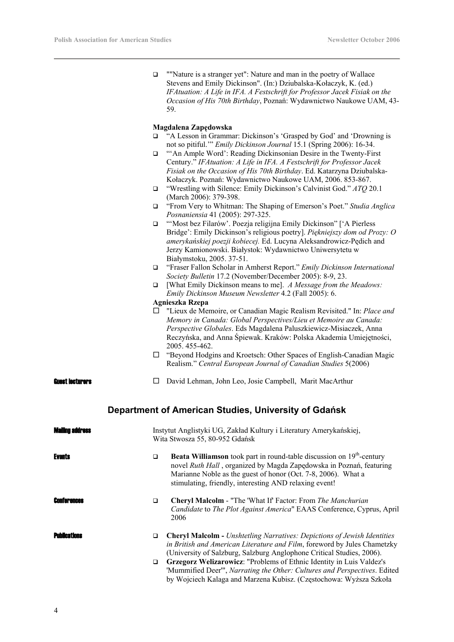| $\Box$ | ""Nature is a stranger yet": Nature and man in the poetry of Wallace        |
|--------|-----------------------------------------------------------------------------|
|        | Stevens and Emily Dickinson". (In:) Dziubalska-Kołaczyk, K. (ed.)           |
|        | IFAtuation: A Life in IFA. A Festschrift for Professor Jacek Fisiak on the  |
|        | <i>Occasion of His 70th Birthday</i> , Poznań: Wydawnictwo Naukowe UAM, 43- |
|        | 59.                                                                         |

#### **Magdalena Zapędowska**

- □ "A Lesson in Grammar: Dickinson's 'Grasped by God' and 'Drowning is not so pitiful.'" *Emily Dickinson Journal* 15.1 (Spring 2006): 16-34.
- □ "An Ample Word': Reading Dickinsonian Desire in the Twenty-First Century." *IFAtuation: A Life in IFA. A Festschrift for Professor Jacek Fisiak on the Occasion of His 70th Birthday*. Ed. Katarzyna Dziubalska-Kołaczyk. Poznań: Wydawnictwo Naukowe UAM, 2006. 853-867.
- "Wrestling with Silence: Emily Dickinson's Calvinist God." *ATQ* 20.1 (March 2006): 379-398.
- "From Very to Whitman: The Shaping of Emerson's Poet." *Studia Anglica Posnaniensia* 41 (2005): 297-325.
- □ "'Most bez Filarów'. Poezja religijna Emily Dickinson'' ['A Pierless Bridge': Emily Dickinson's religious poetry]. *Piękniejszy dom od Prozy: O amerykańskiej poezji kobiecej.* Ed. Lucyna Aleksandrowicz-Pędich and Jerzy Kamionowski. Białystok: Wydawnictwo Uniwersytetu w Białymstoku, 2005. 37-51.
- "Fraser Fallon Scholar in Amherst Report." *Emily Dickinson International Society Bulletin* 17.2 (November/December 2005): 8-9, 23.
- [What Emily Dickinson means to me]. *A Message from the Meadows: Emily Dickinson Museum Newsletter* 4.2 (Fall 2005): 6.

## **Agnieszka Rzepa**

- "Lieux de Memoire, or Canadian Magic Realism Revisited." In: *Place and Memory in Canada: Global Perspectives/Lieu et Memoire au Canada: Perspective Globales*. Eds Magdalena Paluszkiewicz-Misiaczek, Anna Reczyńska, and Anna Śpiewak. Kraków: Polska Akademia Umiejętności, 2005. 455-462.
- "Beyond Hodgins and Kroetsch: Other Spaces of English-Canadian Magic Realism." *Central European Journal of Canadian Studies* 5(2006)

**Guest lecturers**  $\Box$  David Lehman, John Leo, Josie Campbell, Marit MacArthur

## **Department of American Studies, University of Gdańsk**

| Mailing a           |        | Instytut Anglistyki UG, Zakład Kultury i Literatury Amerykańskiej,<br>Wita Stwosza 55, 80-952 Gdańsk                                                                                                                                                                             |
|---------------------|--------|----------------------------------------------------------------------------------------------------------------------------------------------------------------------------------------------------------------------------------------------------------------------------------|
| <b>Events</b>       | □      | <b>Beata Williamson</b> took part in round-table discussion on $19th$ -century<br>novel Ruth Hall, organized by Magda Zapedowska in Poznań, featuring<br>Marianne Noble as the guest of honor (Oct. 7-8, 2006). What a<br>stimulating, friendly, interesting AND relaxing event! |
| Conferences         | □      | <b>Cheryl Malcolm - "The 'What If' Factor: From The Manchurian</b><br>Candidate to The Plot Against America" EAAS Conference, Cyprus, April<br>2006                                                                                                                              |
| <b>Publications</b> | □      | <b>Cheryl Malcolm - Unshtetling Narratives: Depictions of Jewish Identities</b><br>in British and American Literature and Film, foreword by Jules Chametzky<br>(University of Salzburg, Salzburg Anglophone Critical Studies, 2006).                                             |
|                     | $\Box$ | Grzegorz Welizarowicz: "Problems of Ethnic Identity in Luis Valdez's<br>'Mummified Deer'", Narrating the Other: Cultures and Perspectives. Edited<br>by Wojciech Kalaga and Marzena Kubisz. (Częstochowa: Wyższa Szkoła                                                          |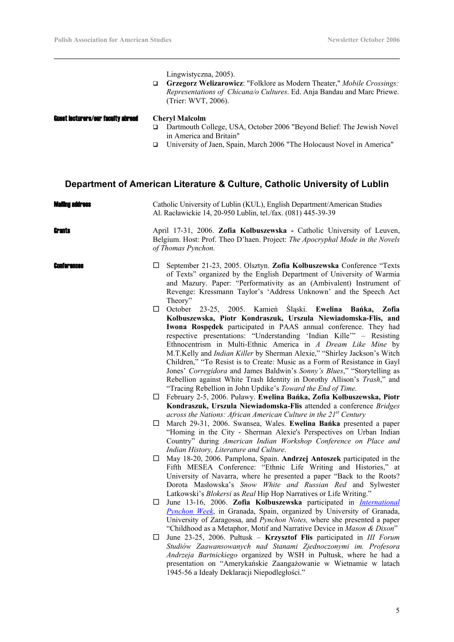|                                           | Lingwistyczna, 2005).<br>Grzegorz Welizarowicz: "Folklore as Modern Theater," Mobile Crossings:<br>□<br>Representations of Chicana/o Cultures. Ed. Anja Bandau and Marc Priewe.<br>(Trier: WVT, 2006).                                                                                                                                                                                                                                                                                                                                                                                                                                                                                                                            |
|-------------------------------------------|-----------------------------------------------------------------------------------------------------------------------------------------------------------------------------------------------------------------------------------------------------------------------------------------------------------------------------------------------------------------------------------------------------------------------------------------------------------------------------------------------------------------------------------------------------------------------------------------------------------------------------------------------------------------------------------------------------------------------------------|
| <b>Guest lecturers/our faculty abroad</b> | <b>Cheryl Malcolm</b><br>Dartmouth College, USA, October 2006 "Beyond Belief: The Jewish Novel<br>□<br>in America and Britain"                                                                                                                                                                                                                                                                                                                                                                                                                                                                                                                                                                                                    |
|                                           | University of Jaen, Spain, March 2006 "The Holocaust Novel in America"<br>□                                                                                                                                                                                                                                                                                                                                                                                                                                                                                                                                                                                                                                                       |
|                                           | Department of American Literature & Culture, Catholic University of Lublin                                                                                                                                                                                                                                                                                                                                                                                                                                                                                                                                                                                                                                                        |
| Maiino address                            | Catholic University of Lublin (KUL), English Department/American Studies<br>Al. Racławickie 14, 20-950 Lublin, tel./fax. (081) 445-39-39                                                                                                                                                                                                                                                                                                                                                                                                                                                                                                                                                                                          |
| Grante                                    | April 17-31, 2006. Zofia Kolbuszewska - Catholic University of Leuven,<br>Belgium. Host: Prof. Theo D'haen. Project: The Apocryphal Mode in the Novels<br>of Thomas Pynchon.                                                                                                                                                                                                                                                                                                                                                                                                                                                                                                                                                      |
| Conferences                               | September 21-23, 2005. Olsztyn. Zofia Kolbuszewska Conference "Texts<br>⊔<br>of Texts" organized by the English Department of University of Warmia<br>and Mazury. Paper: "Performativity as an (Ambivalent) Instrument of<br>Revenge: Kressmann Taylor's 'Address Unknown' and the Speech Act<br>Theory"                                                                                                                                                                                                                                                                                                                                                                                                                          |
|                                           | October 23-25, 2005. Kamień Śląski. Ewelina Bańka,<br>$\Box$<br>Zofia<br>Kolbuszewska, Piotr Kondraszuk, Urszula Niewiadomska-Flis, and<br>Iwona Rospedek participated in PAAS annual conference. They had<br>respective presentations: "Understanding 'Indian Kille'" - Resisting<br>Ethnocentrism in Multi-Ethnic America in A Dream Like Mine by<br>M.T.Kelly and Indian Killer by Sherman Alexie," "Shirley Jackson's Witch<br>Children," "To Resist is to Create: Music as a Form of Resistance in Gayl<br>Jones' Corregidora and James Baldwin's Sonny's Blues," "Storytelling as<br>Rebellion against White Trash Identity in Dorothy Allison's Trash," and<br>"Tracing Rebellion in John Updike's Toward the End of Time. |
|                                           | February 2-5, 2006. Puławy. Ewelina Bańka, Zofia Kolbuszewska, Piotr<br>ப<br>Kondraszuk, Urszula Niewiadomska-Flis attended a conference Bridges<br>across the Nations: African American Culture in the $21st$ Century                                                                                                                                                                                                                                                                                                                                                                                                                                                                                                            |
|                                           | March 29-31, 2006. Swansea, Wales. Ewelina Bańka presented a paper<br>⊔<br>"Homing in the City - Sherman Alexie's Perspectives on Urban Indian<br>Country" during American Indian Workshop Conference on Place and<br>Indian History, Literature and Culture.                                                                                                                                                                                                                                                                                                                                                                                                                                                                     |
|                                           | May 18-20, 2006. Pamplona, Spain. Andrzej Antoszek participated in the<br>⊔<br>Fifth MESEA Conference: "Ethnic Life Writing and Histories," at<br>University of Navarra, where he presented a paper "Back to the Roots?<br>Dorota Masłowska's Snow White and Russian Red and Sylwester<br>Latkowski's Blokersi as Real Hip Hop Narratives or Life Writing."                                                                                                                                                                                                                                                                                                                                                                       |
|                                           | June 13-16, 2006. Zofia Kolbuszewska participated in <i>International</i><br>Ц<br>Pynchon Week, in Granada, Spain, organized by University of Granada,<br>University of Zaragossa, and Pynchon Notes, where she presented a paper<br>"Childhood as a Metaphor, Motif and Narrative Device in Mason & Dixon"                                                                                                                                                                                                                                                                                                                                                                                                                       |
|                                           | June 23-25, 2006. Pułtusk – Krzysztof Flis participated in III Forum<br>ப<br>Studiów Zaawansowanych nad Stanami Zjednoczonymi im. Profesora<br>Andrzeja Bartnickiego organized by WSH in Pułtusk, where he had a<br>presentation on "Amerykańskie Zaangażowanie w Wietnamie w latach                                                                                                                                                                                                                                                                                                                                                                                                                                              |

1945-56 a Ideały Deklaracji Niepodległości."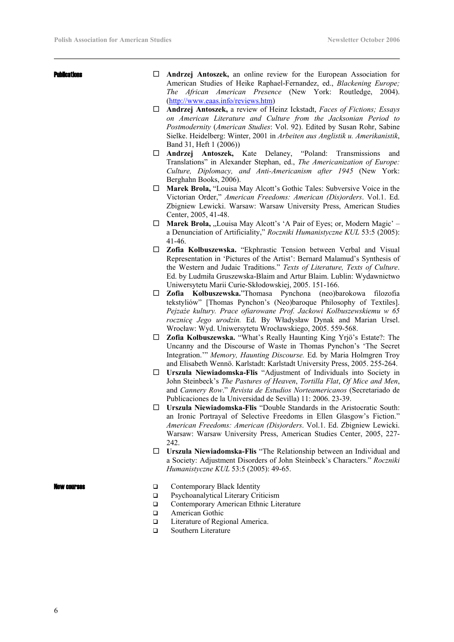- **Publications C Andrzej Antoszek,** an online review for the European Association for American Studies of Heike Raphael-Fernandez, ed., *Blackening Europe; The African American Presence* (New York: Routledge, 2004). (http://www.eaas.info/reviews.htm)
	- **Andrzej Antoszek,** a review of Heinz Ickstadt, *Faces of Fictions; Essays on American Literature and Culture from the Jacksonian Period to Postmodernity* (*American Studies*: Vol. 92). Edited by Susan Rohr, Sabine Sielke. Heidelberg: Winter, 2001 in *Arbeiten aus Anglistik u. Amerikanistik*, Band 31, Heft 1 (2006))
	- **Andrzej Antoszek,** Kate Delaney, "Poland: Transmissions and Translations" in Alexander Stephan, ed., *The Americanization of Europe: Culture, Diplomacy, and Anti-Americanism after 1945* (New York: Berghahn Books, 2006).
	- **Marek Brola,** "Louisa May Alcott's Gothic Tales: Subversive Voice in the Victorian Order," *American Freedoms: American (Dis)orders*. Vol.1. Ed. Zbigniew Lewicki. Warsaw: Warsaw University Press, American Studies Center, 2005, 41-48.
	- $\Box$  **Marek Brola,** "Louisa May Alcott's 'A Pair of Eyes; or, Modern Magic' a Denunciation of Artificiality," *Roczniki Humanistyczne KUL* 53:5 (2005): 41-46.
	- **Zofia Kolbuszewska.** "Ekphrastic Tension between Verbal and Visual Representation in 'Pictures of the Artist': Bernard Malamud's Synthesis of the Western and Judaic Traditions." *Texts of Literature, Texts of Culture*. Ed. by Ludmiła Gruszewska-Blaim and Artur Blaim. Lublin: Wydawnictwo Uniwersytetu Marii Curie-Skłodowskiej, 2005. 151-166.
	- **Zofia Kolbuszewska.**"Thomasa Pynchona (neo)barokowa filozofia tekstyliów" [Thomas Pynchon's (Neo)baroque Philosophy of Textiles]. *Pejzaże kultury. Prace ofiarowane Prof. Jackowi Kolbuszewskiemu w 65 rocznicę Jego urodzin.* Ed. By Władysław Dynak and Marian Ursel. Wrocław: Wyd. Uniwersytetu Wrocławskiego, 2005. 559-568.
	- **Zofia Kolbuszewska.** "What's Really Haunting King Yrjö's Estate?: The Uncanny and the Discourse of Waste in Thomas Pynchon's 'The Secret Integration.'" *Memory, Haunting Discourse.* Ed. by Maria Holmgren Troy and Elisabeth Wennö. Karlstadt: Karlstadt University Press, 2005. 255-264.
	- **Urszula Niewiadomska-Flis** "Adjustment of Individuals into Society in John Steinbeck's *The Pastures of Heaven*, *Tortilla Flat*, *Of Mice and Men*, and *Cannery Row*." *Revista de Estudios Norteamericanos* (Secretariado de Publicaciones de la Universidad de Sevilla) 11: 2006. 23-39.
	- **Urszula Niewiadomska-Flis** "Double Standards in the Aristocratic South: an Ironic Portrayal of Selective Freedoms in Ellen Glasgow's Fiction." *American Freedoms: American (Dis)orders*. Vol.1. Ed. Zbigniew Lewicki. Warsaw: Warsaw University Press, American Studies Center, 2005, 227- 242.
	- **Urszula Niewiadomska-Flis** "The Relationship between an Individual and a Society: Adjustment Disorders of John Steinbeck's Characters." *Roczniki Humanistyczne KUL* 53:5 (2005): 49-65.

- **EXECUTERS**  $\Box$  Contemporary Black Identity
	- □ Psychoanalytical Literary Criticism
	- Contemporary American Ethnic Literature
		- **Example 3** American Gothic
	- □ Literature of Regional America.
	- □ Southern Literature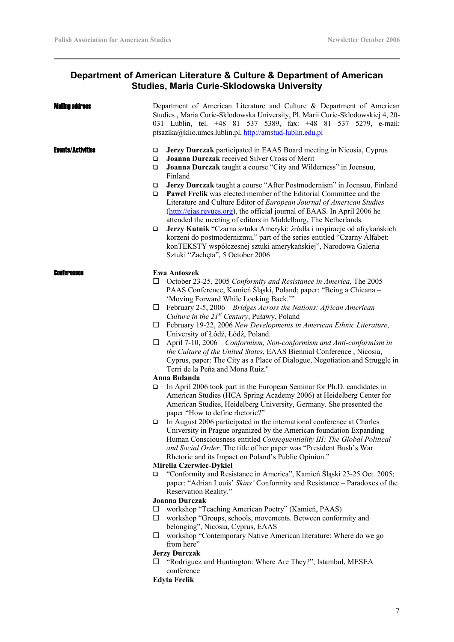## **Department of American Literature & Culture & Department of American Studies, Maria Curie-Sklodowska University**

|                       | Department of American Literature and Culture & Department of American<br>Studies, Maria Curie-Sklodowska University, Pl. Marii Curie-Sklodowskiej 4, 20-<br>031 Lublin, tel. +48 81 537 5389, fax: +48 81 537 5279, e-mail:<br>ptsazlka@klio.umcs.lublin.pl, http://amstud-lublin.edu.pl                                                                             |
|-----------------------|-----------------------------------------------------------------------------------------------------------------------------------------------------------------------------------------------------------------------------------------------------------------------------------------------------------------------------------------------------------------------|
| $\Box$<br>$\Box$<br>□ | Jerzy Durczak participated in EAAS Board meeting in Nicosia, Cyprus<br>Joanna Durczak received Silver Cross of Merit<br>Joanna Durczak taught a course "City and Wilderness" in Joensuu,<br>Finland                                                                                                                                                                   |
| $\Box$<br>❏           | Jerzy Durczak taught a course "After Postmodernism" in Joensuu, Finland<br>Pawel Frelik was elected member of the Editorial Committee and the<br>Literature and Culture Editor of European Journal of American Studies<br>(http://ejas.revues.org), the official journal of EAAS. In April 2006 he<br>attended the meeting of editors in Middelburg, The Netherlands. |
| $\Box$                | Jerzy Kutnik "Czarna sztuka Ameryki: źródła i inspiracje od afrykańskich<br>korzeni do postmodernizmu," part of the series entitled "Czarny Alfabet:<br>konTEKSTY współczesnej sztuki amerykańskiej", Narodowa Galeria<br>Sztuki "Zachęta", 5 October 2006                                                                                                            |
| ப                     | <b>Ewa Antoszek</b><br>October 23-25, 2005 Conformity and Resistance in America, The 2005<br>PAAS Conference, Kamień Śląski, Poland; paper: "Being a Chicana –<br>'Moving Forward While Looking Back.""                                                                                                                                                               |
| ⊔                     | February 2-5, 2006 – Bridges Across the Nations: African American                                                                                                                                                                                                                                                                                                     |
|                       | Culture in the $21^{st}$ Century, Puławy, Poland                                                                                                                                                                                                                                                                                                                      |
| ப                     | February 19-22, 2006 New Developments in American Ethnic Literature,                                                                                                                                                                                                                                                                                                  |
|                       | University of Łódź, Łódź, Poland.<br>April 7-10, 2006 – Conformism, Non-conformism and Anti-conformism in                                                                                                                                                                                                                                                             |
|                       | the Culture of the United States, EAAS Biennial Conference, Nicosia,<br>Cyprus, paper: The City as a Place of Dialogue, Negotiation and Struggle in<br>Terri de la Peña and Mona Ruiz."                                                                                                                                                                               |
|                       | Anna Bulanda                                                                                                                                                                                                                                                                                                                                                          |
| ❏                     | In April 2006 took part in the European Seminar for Ph.D. candidates in<br>American Studies (HCA Spring Academy 2006) at Heidelberg Center for<br>American Studies, Heidelberg University, Germany. She presented the<br>paper "How to define rhetoric?"                                                                                                              |
| ❏                     | In August 2006 participated in the international conference at Charles<br>University in Prague organized by the American foundation Expanding<br>Human Consciousness entitled Consequentiality III: The Global Political<br>and Social Order. The title of her paper was "President Bush's War<br>Rhetoric and its Impact on Poland's Public Opinion."                |
|                       | Mirella Czerwiec-Dykiel                                                                                                                                                                                                                                                                                                                                               |
| □                     | "Conformity and Resistance in America", Kamień Śląski 23-25 Oct. 2005;<br>paper: "Adrian Louis' Skins' Conformity and Resistance - Paradoxes of the<br>Reservation Reality."                                                                                                                                                                                          |
|                       | <b>Joanna Durczak</b>                                                                                                                                                                                                                                                                                                                                                 |
| ப                     | workshop "Teaching American Poetry" (Kamień, PAAS)                                                                                                                                                                                                                                                                                                                    |
| ⊔                     | workshop "Groups, schools, movements. Between conformity and                                                                                                                                                                                                                                                                                                          |
| ⊔                     | belonging", Nicosia, Cyprus, EAAS<br>workshop "Contemporary Native American literature: Where do we go<br>from here"                                                                                                                                                                                                                                                  |
|                       | <b>Jerzy Durczak</b>                                                                                                                                                                                                                                                                                                                                                  |
| ப                     | "Rodriguez and Huntington: Where Are They?", Istambul, MESEA<br>conference                                                                                                                                                                                                                                                                                            |
|                       | <b>Edyta Frelik</b>                                                                                                                                                                                                                                                                                                                                                   |
|                       | □                                                                                                                                                                                                                                                                                                                                                                     |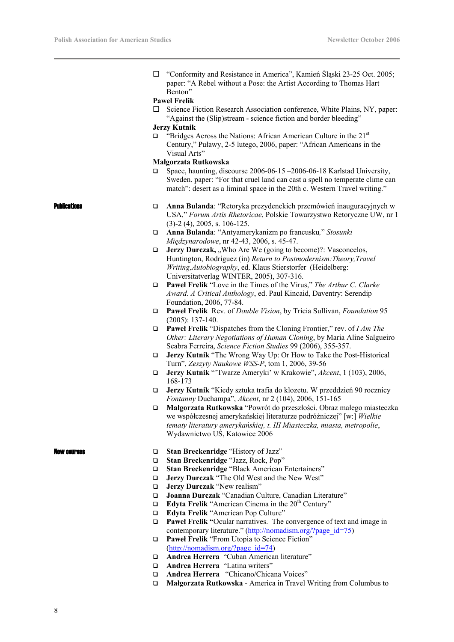□ "Conformity and Resistance in America", Kamień Śląski 23-25 Oct. 2005; paper: "A Rebel without a Pose: the Artist According to Thomas Hart Benton"

#### **Paweł Frelik**

 $\square$  Science Fiction Research Association conference, White Plains, NY, paper: "Against the (Slip)stream - science fiction and border bleeding"

#### **Jerzy Kutnik**

 $\Box$  "Bridges Across the Nations: African American Culture in the 21<sup>st</sup> Century," Puławy, 2-5 lutego, 2006, paper: "African Americans in the Visual Arts"

## **Małgorzata Rutkowska**

 Space, haunting, discourse 2006-06-15 –2006-06-18 Karlstad University, Sweden. paper: "For that cruel land can cast a spell no temperate clime can match": desert as a liminal space in the 20th c. Western Travel writing."

- **Reations Anna Bulanda**: "Retoryka prezydenckich przemówień inauguracyjnych w USA," *Forum Artis Rhetoricae*, Polskie Towarzystwo Retoryczne UW, nr 1 (3)-2 (4), 2005, s. 106-125.
	- **Anna Bulanda**: "Antyamerykanizm po francusku*,*" *Stosunki Międzynarodowe*, nr 42-43, 2006, s. 45-47.
	- **Jerzy Durczak, "Who Are We (going to become)?: Vasconcelos,** Huntington, Rodriguez (in) *Return to Postmodernism:Theory,Travel Writing,Autobiography*, ed. Klaus Stierstorfer (Heidelberg: Universitatverlag WINTER, 2005), 307-316.
	- **Paweł Frelik** "Love in the Times of the Virus," *The Arthur C. Clarke Award. A Critical Anthology*, ed. Paul Kincaid, Daventry: Serendip Foundation, 2006, 77-84.
	- **Paweł Frelik** Rev. of *Double Vision*, by Tricia Sullivan, *Foundation* 95 (2005): 137-140.
	- **Paweł Frelik** "Dispatches from the Cloning Frontier," rev. of *I Am The Other: Literary Negotiations of Human Cloning*, by Maria Aline Salgueiro Seabra Ferreira, *Science Fiction Studies* 99 (2006), 355-357.
	- **Jerzy Kutnik** "The Wrong Way Up: Or How to Take the Post-Historical Turn", *Zeszyty Naukowe WSS-P*, tom 1, 2006, 39-56
	- **Jerzy Kutnik** "'Twarze Ameryki' w Krakowie", *Akcent*, 1 (103), 2006, 168-173
	- **Jerzy Kutnik** "Kiedy sztuka trafia do klozetu. W przeddzień 90 rocznicy *Fontanny* Duchampa", *Akcent*, nr 2 (104), 2006, 151-165
	- **Małgorzata Rutkowska** "Powrót do przeszłości. Obraz małego miasteczka we współczesnej amerykańskiej literaturze podróżniczej" [w:] *Wielkie tematy literatury amerykańskiej, t. III Miasteczka, miasta, metropolie*, Wydawnictwo UŚ, Katowice 2006

- New courses **Stan Breckenridge** "History of Jazz"
	- **Stan Breckenridge** "Jazz, Rock, Pop"
	- **Stan Breckenridge** "Black American Entertainers"
	- **Jerzy Durczak** "The Old West and the New West"
	- **Jerzy Durczak** "New realism"
	- **Joanna Durczak** "Canadian Culture, Canadian Literature"
	- **Edyta Frelik** "American Cinema in the  $20<sup>th</sup>$  Century"
	- **Edyta Frelik** "American Pop Culture"
	- **Paweł Frelik "**Ocular narratives. The convergence of text and image in contemporary literature." (http://nomadism.org/?page\_id=75)
	- **Paweł Frelik** "From Utopia to Science Fiction" (http://nomadism.org/?page\_id=74)
	- **Andrea Herrera** "Cuban American literature"
	- **Andrea Herrera** "Latina writers"
	- **Andrea Herrera** "Chicano/Chicana Voices"
	- **Małgorzata Rutkowska** America in Travel Writing from Columbus to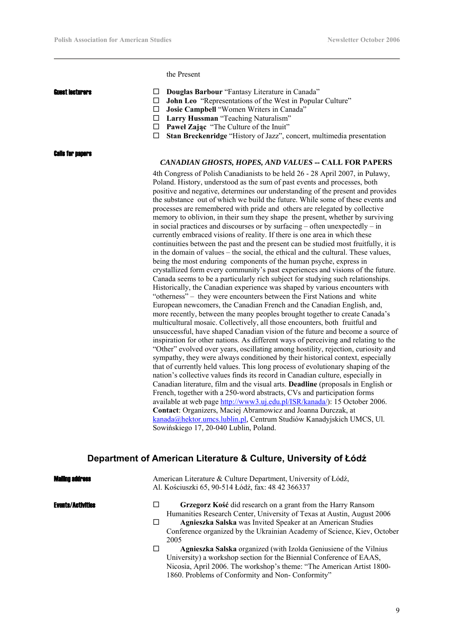the Present

Calls for papers

- **Guest Literary Constants In Canada Douglas Barbour** "Fantasy Literature in Canada"
	- **John Leo** "Representations of the West in Popular Culture"
	- **Josie Campbell** "Women Writers in Canada"
	- **Larry Hussman** "Teaching Naturalism"
	- **Paweł Zając** "The Culture of the Inuit"
	- **Stan Breckenridge** "History of Jazz", concert, multimedia presentation

#### *CANADIAN GHOSTS, HOPES, AND VALUES* **-- CALL FOR PAPERS**

4th Congress of Polish Canadianists to be held 26 - 28 April 2007, in Puławy, Poland. History, understood as the sum of past events and processes, both positive and negative, determines our understanding of the present and provides the substance out of which we build the future. While some of these events and processes are remembered with pride and others are relegated by collective memory to oblivion, in their sum they shape the present, whether by surviving in social practices and discourses or by surfacing – often unexpectedly – in currently embraced visions of reality. If there is one area in which these continuities between the past and the present can be studied most fruitfully, it is in the domain of values – the social, the ethical and the cultural. These values, being the most enduring components of the human psyche, express in crystallized form every community's past experiences and visions of the future. Canada seems to be a particularly rich subject for studying such relationships. Historically, the Canadian experience was shaped by various encounters with "otherness" – they were encounters between the First Nations and white European newcomers, the Canadian French and the Canadian English, and, more recently, between the many peoples brought together to create Canada's multicultural mosaic. Collectively, all those encounters, both fruitful and unsuccessful, have shaped Canadian vision of the future and become a source of inspiration for other nations. As different ways of perceiving and relating to the "Other" evolved over years, oscillating among hostility, rejection, curiosity and sympathy, they were always conditioned by their historical context, especially that of currently held values. This long process of evolutionary shaping of the nation's collective values finds its record in Canadian culture, especially in Canadian literature, film and the visual arts. **Deadline** (proposals in English or French, together with a 250-word abstracts, CVs and participation forms available at web page http://www3.uj.edu.pl/ISR/kanada/): 15 October 2006. **Contact**: Organizers, Maciej Abramowicz and Joanna Durczak, at kanada@hektor.umcs.lublin.pl, Centrum Studiów Kanadyjskich UMCS, Ul. Sowińskiego 17, 20-040 Lublin, Poland.

## **Department of American Literature & Culture, University of Łódź**

iling address

American Literature & Culture Department, University of Łódź, Al. Kościuszki 65, 90-514 Łódź, fax: 48 42 366337

- Events/Activities **Grzegorz Kość** did research on a grant from the Harry Ransom Humanities Research Center, University of Texas at Austin, August 2006
	- **Agnieszka Salska** was Invited Speaker at an American Studies Conference organized by the Ukrainian Academy of Science, Kiev, October 2005
	- **Agnieszka Salska** organized (with Izolda Geniusiene of the Vilnius University) a workshop section for the Biennial Conference of EAAS, Nicosia, April 2006. The workshop's theme: "The American Artist 1800- 1860. Problems of Conformity and Non- Conformity"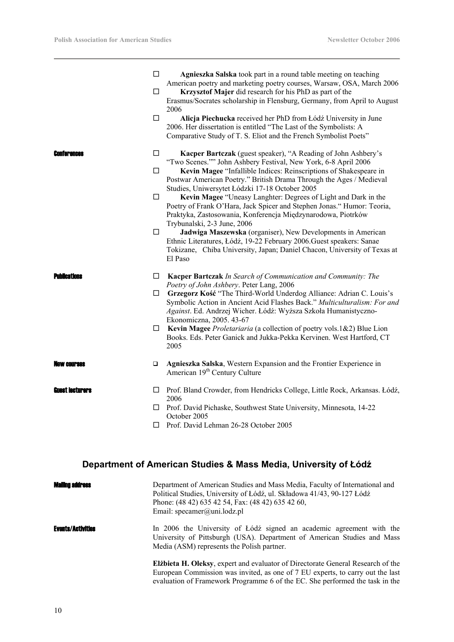|                    | $\Box$<br>□<br>$\Box$      | Agnieszka Salska took part in a round table meeting on teaching<br>American poetry and marketing poetry courses, Warsaw, OSA, March 2006<br>Krzysztof Majer did research for his PhD as part of the<br>Erasmus/Socrates scholarship in Flensburg, Germany, from April to August<br>2006<br>Alicja Piechucka received her PhD from Łódź University in June<br>2006. Her dissertation is entitled "The Last of the Symbolists: A<br>Comparative Study of T. S. Eliot and the French Symbolist Poets"                                                                                                                                                                                                                                                                                                     |
|--------------------|----------------------------|--------------------------------------------------------------------------------------------------------------------------------------------------------------------------------------------------------------------------------------------------------------------------------------------------------------------------------------------------------------------------------------------------------------------------------------------------------------------------------------------------------------------------------------------------------------------------------------------------------------------------------------------------------------------------------------------------------------------------------------------------------------------------------------------------------|
| <b>EANTAPANCAS</b> | $\Box$<br>$\Box$<br>□<br>□ | Kacper Bartczak (guest speaker), "A Reading of John Ashbery's<br>"Two Scenes."" John Ashbery Festival, New York, 6-8 April 2006<br>Kevin Magee "Infallible Indices: Reinscriptions of Shakespeare in<br>Postwar American Poetry." British Drama Through the Ages / Medieval<br>Studies, Uniwersytet Łódzki 17-18 October 2005<br>Kevin Magee "Uneasy Langhter: Degrees of Light and Dark in the<br>Poetry of Frank O'Hara, Jack Spicer and Stephen Jonas." Humor: Teoria,<br>Praktyka, Zastosowania, Konferencja Międzynarodowa, Piotrków<br>Trybunalski, 2-3 June, 2006<br>Jadwiga Maszewska (organiser), New Developments in American<br>Ethnic Literatures, Łódź, 19-22 February 2006. Guest speakers: Sanae<br>Tokizane, Chiba University, Japan; Daniel Chacon, University of Texas at<br>El Paso |
|                    | □<br>□<br>□                | Kacper Bartczak In Search of Communication and Community: The<br>Poetry of John Ashbery. Peter Lang, 2006<br>Grzegorz Kość "The Third-World Underdog Alliance: Adrian C. Louis's<br>Symbolic Action in Ancient Acid Flashes Back." Multiculturalism: For and<br>Against. Ed. Andrzej Wicher. Łódź: Wyższa Szkoła Humanistyczno-<br>Ekonomiczna, 2005. 43-67<br>Kevin Magee Proletariaria (a collection of poetry vols.1&2) Blue Lion<br>Books. Eds. Peter Ganick and Jukka-Pekka Kervinen. West Hartford, CT<br>2005                                                                                                                                                                                                                                                                                   |
| IAW COUPSAS        | $\Box$                     | Agnieszka Salska, Western Expansion and the Frontier Experience in<br>American 19 <sup>th</sup> Century Culture                                                                                                                                                                                                                                                                                                                                                                                                                                                                                                                                                                                                                                                                                        |
| Euest Iecturers    | $\Box$<br>□<br>□           | Prof. Bland Crowder, from Hendricks College, Little Rock, Arkansas. Łódź,<br>2006<br>Prof. David Pichaske, Southwest State University, Minnesota, 14-22<br>October 2005<br>Prof. David Lehman 26-28 October 2005                                                                                                                                                                                                                                                                                                                                                                                                                                                                                                                                                                                       |

# **Department of American Studies & Mass Media, University of Łódź**

| <b>Mailing address</b> | Department of American Studies and Mass Media, Faculty of International and<br>Political Studies, University of Łódź, ul. Składowa 41/43, 90-127 Łódź<br>Phone: (48 42) 635 42 54, Fax: (48 42) 635 42 60,<br>Email: specamer@uni.lodz.pl                |
|------------------------|----------------------------------------------------------------------------------------------------------------------------------------------------------------------------------------------------------------------------------------------------------|
| Events/Activities      | In 2006 the University of Łódź signed an academic agreement with the<br>University of Pittsburgh (USA). Department of American Studies and Mass<br>Media (ASM) represents the Polish partner.                                                            |
|                        | <b>Elibieta H. Oleksy, expert and evaluator of Directorate General Research of the</b><br>European Commission was invited, as one of 7 EU experts, to carry out the last<br>evaluation of Framework Programme 6 of the EC. She performed the task in the |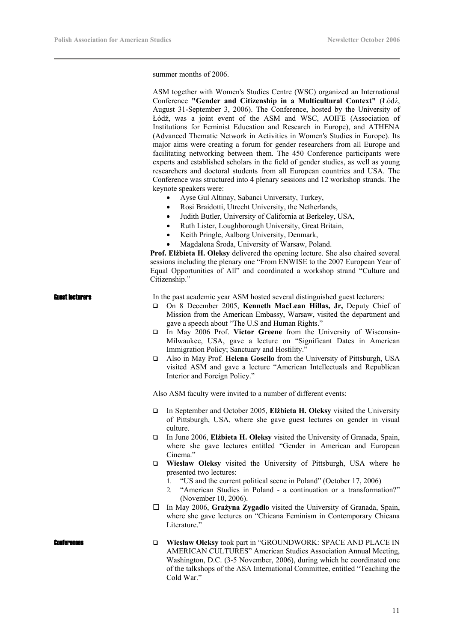summer months of 2006.

|                    | ASM together with Women's Studies Centre (WSC) organized an International<br>Conference "Gender and Citizenship in a Multicultural Context" (Łódź,<br>August 31-September 3, 2006). The Conference, hosted by the University of<br>Łódź, was a joint event of the ASM and WSC, AOIFE (Association of<br>Institutions for Feminist Education and Research in Europe), and ATHENA<br>(Advanced Thematic Network in Activities in Women's Studies in Europe). Its<br>major aims were creating a forum for gender researchers from all Europe and<br>facilitating networking between them. The 450 Conference participants were<br>experts and established scholars in the field of gender studies, as well as young<br>researchers and doctoral students from all European countries and USA. The<br>Conference was structured into 4 plenary sessions and 12 workshop strands. The<br>keynote speakers were:<br>Ayse Gul Altinay, Sabanci University, Turkey,<br>Rosi Braidotti, Utrecht University, the Netherlands,<br>٠<br>Judith Butler, University of California at Berkeley, USA,<br>٠<br>Ruth Lister, Loughborough University, Great Britain,<br>$\bullet$<br>Keith Pringle, Aalborg University, Denmark,<br>$\bullet$<br>Magdalena Środa, University of Warsaw, Poland.<br>Prof. Elżbieta H. Oleksy delivered the opening lecture. She also chaired several<br>sessions including the plenary one "From ENWISE to the 2007 European Year of<br>Equal Opportunities of All" and coordinated a workshop strand "Culture and |
|--------------------|---------------------------------------------------------------------------------------------------------------------------------------------------------------------------------------------------------------------------------------------------------------------------------------------------------------------------------------------------------------------------------------------------------------------------------------------------------------------------------------------------------------------------------------------------------------------------------------------------------------------------------------------------------------------------------------------------------------------------------------------------------------------------------------------------------------------------------------------------------------------------------------------------------------------------------------------------------------------------------------------------------------------------------------------------------------------------------------------------------------------------------------------------------------------------------------------------------------------------------------------------------------------------------------------------------------------------------------------------------------------------------------------------------------------------------------------------------------------------------------------------------------------------------|
|                    | Citizenship."                                                                                                                                                                                                                                                                                                                                                                                                                                                                                                                                                                                                                                                                                                                                                                                                                                                                                                                                                                                                                                                                                                                                                                                                                                                                                                                                                                                                                                                                                                                   |
| Guest lecturers    | In the past academic year ASM hosted several distinguished guest lecturers:<br>On 8 December 2005, Kenneth MacLean Hillas, Jr, Deputy Chief of<br>□<br>Mission from the American Embassy, Warsaw, visited the department and<br>gave a speech about "The U.S and Human Rights."<br>In May 2006 Prof. Victor Greene from the University of Wisconsin-<br>Milwaukee, USA, gave a lecture on "Significant Dates in American<br>Immigration Policy; Sanctuary and Hostility."<br>Also in May Prof. Helena Goscilo from the University of Pittsburgh, USA<br>□<br>visited ASM and gave a lecture "American Intellectuals and Republican<br>Interior and Foreign Policy."                                                                                                                                                                                                                                                                                                                                                                                                                                                                                                                                                                                                                                                                                                                                                                                                                                                             |
|                    | Also ASM faculty were invited to a number of different events:                                                                                                                                                                                                                                                                                                                                                                                                                                                                                                                                                                                                                                                                                                                                                                                                                                                                                                                                                                                                                                                                                                                                                                                                                                                                                                                                                                                                                                                                  |
|                    | In September and October 2005, Elżbieta H. Oleksy visited the University<br>❏<br>of Pittsburgh, USA, where she gave guest lectures on gender in visual                                                                                                                                                                                                                                                                                                                                                                                                                                                                                                                                                                                                                                                                                                                                                                                                                                                                                                                                                                                                                                                                                                                                                                                                                                                                                                                                                                          |
|                    | culture.<br>In June 2006, Elibieta H. Oleksy visited the University of Granada, Spain,<br>❏<br>where she gave lectures entitled "Gender in American and European<br>Cinema."                                                                                                                                                                                                                                                                                                                                                                                                                                                                                                                                                                                                                                                                                                                                                                                                                                                                                                                                                                                                                                                                                                                                                                                                                                                                                                                                                    |
|                    | Wiesław Oleksy visited the University of Pittsburgh, USA where he<br>□<br>presented two lectures:<br>"US and the current political scene in Poland" (October 17, 2006)<br>1.<br>"American Studies in Poland - a continuation or a transformation?"<br>2.<br>(November 10, 2006).                                                                                                                                                                                                                                                                                                                                                                                                                                                                                                                                                                                                                                                                                                                                                                                                                                                                                                                                                                                                                                                                                                                                                                                                                                                |
|                    | In May 2006, Grażyna Zygadło visited the University of Granada, Spain,<br>ப<br>where she gave lectures on "Chicana Feminism in Contemporary Chicana<br>Literature."                                                                                                                                                                                                                                                                                                                                                                                                                                                                                                                                                                                                                                                                                                                                                                                                                                                                                                                                                                                                                                                                                                                                                                                                                                                                                                                                                             |
| <b>Conterences</b> | Wiesław Oleksy took part in "GROUNDWORK: SPACE AND PLACE IN<br>❏<br>AMERICAN CULTURES" American Studies Association Annual Meeting,<br>Washington, D.C. (3-5 November, 2006), during which he coordinated one<br>of the talkshops of the ASA International Committee, entitled "Teaching the<br>Cold War."                                                                                                                                                                                                                                                                                                                                                                                                                                                                                                                                                                                                                                                                                                                                                                                                                                                                                                                                                                                                                                                                                                                                                                                                                      |
|                    |                                                                                                                                                                                                                                                                                                                                                                                                                                                                                                                                                                                                                                                                                                                                                                                                                                                                                                                                                                                                                                                                                                                                                                                                                                                                                                                                                                                                                                                                                                                                 |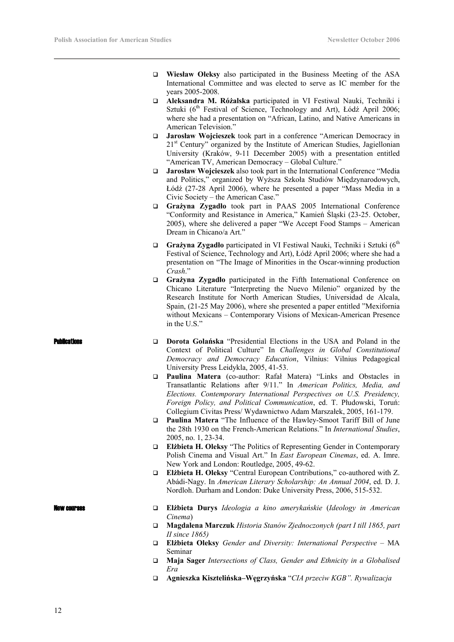- **Wiesław Oleksy** also participated in the Business Meeting of the ASA International Committee and was elected to serve as IC member for the years 2005-2008.
- **Aleksandra M. Różalska** participated in VI Festiwal Nauki, Techniki i Sztuki (6<sup>th</sup> Festival of Science, Technology and Art), Łódź April 2006; where she had a presentation on "African, Latino, and Native Americans in American Television."
- **Jarosław Wojcieszek** took part in a conference "American Democracy in 21<sup>st</sup> Century" organized by the Institute of American Studies, Jagiellonian University (Kraków, 9-11 December 2005) with a presentation entitled "American TV, American Democracy – Global Culture."
- **Jarosław Wojcieszek** also took part in the International Conference "Media and Politics," organized by Wyższa Szkoła Studiów Międzynarodowych, Łódź (27-28 April 2006), where he presented a paper "Mass Media in a Civic Society – the American Case."
- **Grażyna Zygadło** took part in PAAS 2005 International Conference "Conformity and Resistance in America," Kamień Śląski (23-25. October, 2005), where she delivered a paper "We Accept Food Stamps – American Dream in Chicano/a Art."
- Grażyna Zygadło participated in VI Festiwal Nauki, Techniki i Sztuki (6<sup>th</sup>) Festival of Science, Technology and Art), Łódź April 2006; where she had a presentation on "The Image of Minorities in the Oscar-winning production *Crash*."
- **Grażyna Zygadło** participated in the Fifth International Conference on Chicano Literature "Interpreting the Nuevo Milenio" organized by the Research Institute for North American Studies, Universidad de Alcala, Spain, (21-25 May 2006), where she presented a paper entitled "Mexifornia without Mexicans – Contemporary Visions of Mexican-American Presence in the U.S."
- **Dublications D Dorota Golanska** "Presidential Elections in the USA and Poland in the Context of Political Culture" In *Challenges in Global Constitutional Democracy and Democracy Education*, Vilnius: Vilnius Pedagogical University Press Leidykla, 2005, 41-53.
	- **Paulina Matera** (co-author: Rafał Matera) "Links and Obstacles in Transatlantic Relations after 9/11." In *American Politics, Media, and Elections. Contemporary International Perspectives on U.S. Presidency, Foreign Policy, and Political Communication*, ed. T. Płudowski, Toruń: Collegium Civitas Press/ Wydawnictwo Adam Marszałek, 2005, 161-179.
	- **Paulina Matera** "The Influence of the Hawley-Smoot Tariff Bill of June the 28th 1930 on the French-American Relations." In *International Studies*, 2005, no. 1, 23-34.
	- **Elżbieta H. Oleksy** "The Politics of Representing Gender in Contemporary Polish Cinema and Visual Art." In *East European Cinemas*, ed. A. Imre. New York and London: Routledge, 2005, 49-62.
	- **Elżbieta H. Oleksy** "Central European Contributions," co-authored with Z. Abádi-Nagy. In *American Literary Scholarship: An Annual 2004*, ed. D. J. Nordloh. Durham and London: Duke University Press, 2006, 515-532.

- New courses **Elżbieta Durys** *Ideologia a kino amerykańskie* (*Ideology in American Cinema*)
	- **Magdalena Marczuk** *Historia Stanów Zjednoczonych (part I till 1865, part II since 1865)*
	- **Elżbieta Oleksy** *Gender and Diversity: International Perspective* MA Seminar
	- **Maja Sager** *Intersections of Class, Gender and Ethnicity in a Globalised Era*
	- **Agnieszka Kisztelińska–Węgrzyńska** "*CIA przeciw KGB". Rywalizacja*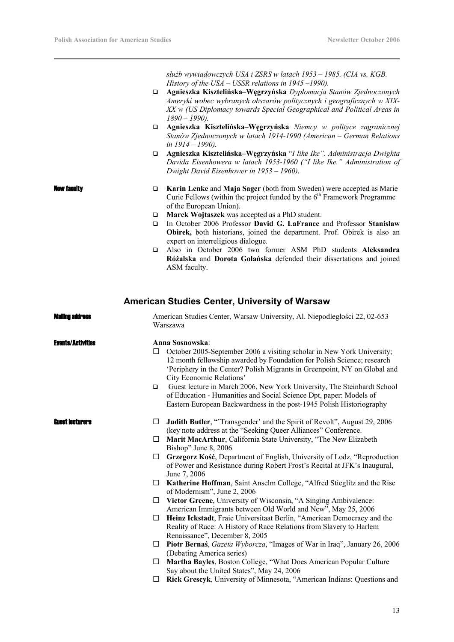*służb wywiadowczych USA i ZSRS w latach 1953 – 1985. (CIA vs. KGB. History of the USA – USSR relations in 1945 –1990).* 

- **Agnieszka Kisztelińska–Węgrzyńska** *Dyplomacja Stanów Zjednoczonych Ameryki wobec wybranych obszarów politycznych i geograficznych w XIX-XX w (US Diplomacy towards Special Geographical and Political Areas in 1890 – 1990).*
- **Agnieszka Kisztelińska–Węgrzyńska** *Niemcy w polityce zagranicznej Stanów Zjednoczonych w latach 1914-1990 (American – German Relations in 1914 – 1990).*
- **Agnieszka Kisztelińska–Węgrzyńska** "*I like Ike". Administracja Dwighta Davida Eisenhowera w latach 1953-1960 ("I like Ike." Administration of Dwight David Eisenhower in 1953 – 1960)*.
- **New faculty Example 5 Example 3 Karin Lenke** and **Maja Sager** (both from Sweden) were accepted as Marie Curie Fellows (within the project funded by the  $6<sup>th</sup>$  Framework Programme of the European Union).
	- **Marek Wojtaszek** was accepted as a PhD student.
	- In October 2006 Professor **David G. LaFrance** and Professor **Stanisław Obirek,** both historians, joined the department. Prof. Obirek is also an expert on interreligious dialogue.
	- Also in October 2006 two former ASM PhD students **Aleksandra Różalska** and **Dorota Golańska** defended their dissertations and joined ASM faculty.

#### **American Studies Center, University of Warsaw**

| <b>Malino address</b>    | American Studies Center, Warsaw University, Al. Niepodległości 22, 02-653<br>Warszawa                                                                                                                                                                                                                                                                                                                                                                                                                                                       |
|--------------------------|---------------------------------------------------------------------------------------------------------------------------------------------------------------------------------------------------------------------------------------------------------------------------------------------------------------------------------------------------------------------------------------------------------------------------------------------------------------------------------------------------------------------------------------------|
| <b>Evants/Activities</b> | Anna Sosnowska:<br>October 2005-September 2006 a visiting scholar in New York University;<br>□<br>12 month fellowship awarded by Foundation for Polish Science; research<br>'Periphery in the Center? Polish Migrants in Greenpoint, NY on Global and<br>City Economic Relations'<br>Guest lecture in March 2006, New York University, The Steinhardt School<br>$\Box$<br>of Education - Humanities and Social Science Dpt, paper: Models of<br>Eastern European Backwardness in the post-1945 Polish Historiography                        |
| <b>Cuest lecturers</b>   | Judith Butler, "Transgender' and the Spirit of Revolt", August 29, 2006<br>Ц<br>(key note address at the "Seeking Queer Alliances" Conference.<br>Marit MacArthur, California State University, "The New Elizabeth<br>□<br>Bishop" June 8, 2006<br>Grzegorz Kość, Department of English, University of Lodz, "Reproduction<br>□<br>of Power and Resistance during Robert Frost's Recital at JFK's Inaugural,<br>June 7, 2006<br>Katherine Hoffman, Saint Anselm College, "Alfred Stieglitz and the Rise<br>□<br>of Modernism", June 2, 2006 |
|                          | Victor Greene, University of Wisconsin, "A Singing Ambivalence:<br>□<br>American Immigrants between Old World and New", May 25, 2006<br>Heinz Ickstadt, Fraie Universitaat Berlin, "American Democracy and the<br>□<br>Reality of Race: A History of Race Relations from Slavery to Harlem<br>Renaissance", December 8, 2005                                                                                                                                                                                                                |
|                          | Piotr Bernaś, Gazeta Wyborcza, "Images of War in Iraq", January 26, 2006<br>□<br>(Debating America series)<br>Martha Bayles, Boston College, "What Does American Popular Culture<br>□<br>Say about the United States", May 24, 2006<br>Rick Grescyk, University of Minnesota, "American Indians: Questions and<br>□                                                                                                                                                                                                                         |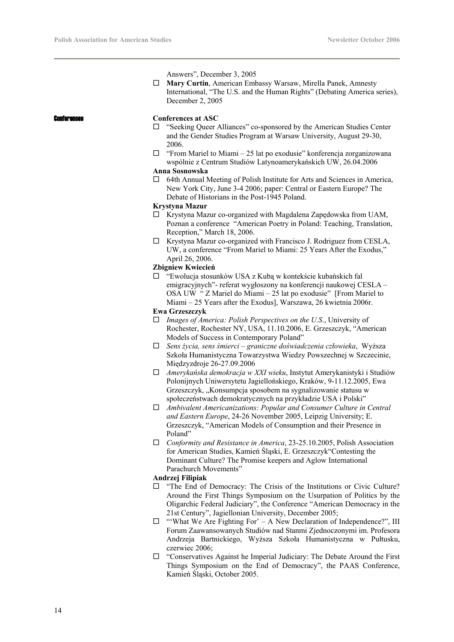Answers", December 3, 2005

 **Mary Curtin**, American Embassy Warsaw, Mirella Panek, Amnesty International, "The U.S. and the Human Rights" (Debating America series), December 2, 2005

#### Conferences **Conferences at ASC**

- □ "Seeking Queer Alliances" co-sponsored by the American Studies Center and the Gender Studies Program at Warsaw University, August 29-30, 2006.
- $\Box$  "From Mariel to Miami 25 lat po exodusie" konferencja zorganizowana wspólnie z Centrum Studiów Latynoamerykańskich UW, 26.04.2006

#### **Anna Sosnowska**

 $\Box$  64th Annual Meeting of Polish Institute for Arts and Sciences in America, New York City, June 3-4 2006; paper: Central or Eastern Europe? The Debate of Historians in the Post-1945 Poland.

#### **Krystyna Mazur**

- $\Box$  Krystyna Mazur co-organized with Magdalena Zapędowska from UAM, Poznan a conference "American Poetry in Poland: Teaching, Translation, Reception," March 18, 2006.
- $\Box$  Krystyna Mazur co-organized with Francisco J. Rodriguez from CESLA, UW, a conference "From Mariel to Miami: 25 Years After the Exodus," April 26, 2006.

#### **Zbigniew Kwiecień**

 "Ewolucja stosunków USA z Kubą w kontekście kubańskich fal emigracyjnych"- referat wygłoszony na konferencji naukowej CESLA – OSA UW " Z Mariel do Miami – 25 lat po exodusie" [From Mariel to Miami – 25 Years after the Exodus], Warszawa, 26 kwietnia 2006r.

#### **Ewa Grzeszczyk**

- *Images of America: Polish Perspectives on the U.S*., University of Rochester, Rochester NY, USA, 11.10.2006, E. Grzeszczyk, "American Models of Success in Contemporary Poland"
- *Sens życia, sens śmierci graniczne doświadczenia człowieka*, Wyższa Szkoła Humanistyczna Towarzystwa Wiedzy Powszechnej w Szczecinie, Międzyzdroje 26-27.09.2006
- *Amerykańska demokracja w XXI wieku*, Instytut Amerykanistyki i Studiów Polonijnych Uniwersytetu Jagiellońskiego, Kraków, 9-11.12.2005, Ewa Grzeszczyk, "Konsumpcja sposobem na sygnalizowanie statusu w społeczeństwach demokratycznych na przykładzie USA i Polski"
- *Ambivalent Americanizations: Popular and Consumer Culture in Central and Eastern Europe*, 24-26 November 2005, Leipzig University; E. Grzeszczyk, "American Models of Consumption and their Presence in Poland"
- *Conformity and Resistance in America*, 23-25.10.2005, Polish Association for American Studies, Kamień Śląski, E. Grzeszczyk"Contesting the Dominant Culture? The Promise keepers and Aglow International Parachurch Movements"

#### **Andrzej Filipiak**

- $\Box$  "The End of Democracy: The Crisis of the Institutions or Civic Culture? Around the First Things Symposium on the Usurpation of Politics by the Oligarchic Federal Judiciary", the Conference "American Democracy in the 21st Century", Jagiellonian University, December 2005;
- $\square$  "What We Are Fighting For' A New Declaration of Independence?", III Forum Zaawansowanych Studiów nad Stanmi Zjednoczonymi im. Profesora Andrzeja Bartnickiego, Wyższa Szkoła Humanistyczna w Pułtusku, czerwiec 2006;
- $\Box$  "Conservatives Against he Imperial Judiciary: The Debate Around the First Things Symposium on the End of Democracy", the PAAS Conference, Kamień Śląski, October 2005.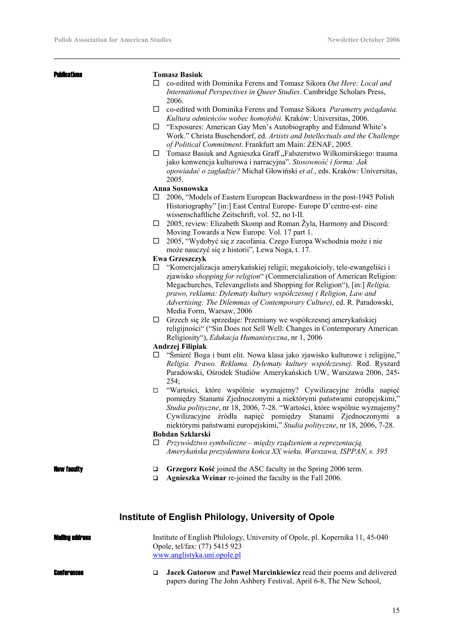#### Publications **Tomasz Basiuk**

- co-edited with Dominika Ferens and Tomasz Sikora *Out Here: Local and International Perspectives in Queer Studies*. Cambridge Scholars Press, 2006.
- co-edited with Dominika Ferens and Tomasz Sikora *Parametry pożądania. Kultura odmieńców wobec homofobii.* Kraków: Universitas, 2006.
- "Exposures: American Gay Men's Autobiography and Edmund White's Work." Christa Buschendorf, ed. *Artists and Intellectuals and the Challenge of Political Commitment*. Frankfurt am Main: ZENAF, 2005.
- $\square$  Tomasz Basiuk and Agnieszka Graff "Fałszerstwo Wilkomirskiego: trauma jako konwencja kulturowa i narracyjna". *Stosowność i forma: Jak opowiadać o zagładzie?* Michał Głowiński *et al.*, eds. Kraków: Universitas, 2005.

#### **Anna Sosnowska**

- □ 2006, "Models of Eastern European Backwardness in the post-1945 Polish Historiography" [in:] East Central Europe- Europe D'centre-est- eine wissenschaftliche Zeitschrift, vol. 52, no I-II.
- $\Box$  2005, review: Elizabeth Skomp and Roman Žyla, Harmony and Discord: Moving Towards a New Europe. Vol. 17 part 1.
- 2005, "Wydobyć się z zacofania. Czego Europa Wschodnia może i nie może nauczyć się z historii", Lewa Noga, t. 17.

#### **Ewa Grzeszczyk**

- $\Box$  "Komercjalizacja amerykańskiej religii; megakościoly, tele-ewangeliści i zjawisko *shopping for religion*" (Commercialization of American Religion: Megachurches, Televangelists and Shopping for Religion"), [in:] *Religia, prawo, reklama: Dylematy kultury współczesnej ( Religion, Law and Advertising: The Dilemmas of Contemporary Culture)*, ed. R. Paradowski, Media Form, Warsaw, 2006
- Grzech się źle sprzedaje: Przemiany we współczesnej amerykańskiej religijności" ("Sin Does not Sell Well: Changes in Contemporary American Religiosity"), *Edukacja Humanistyczna*, nr 1, 2006

#### **Andrzej Filipiak**

- "Śmierć Boga i bunt elit. Nowa klasa jako zjawisko kulturowe i religijne," *Religia. Prawo. Reklama. Dylematy kultury współczesnej.* Red. Ryszard Paradowski, Ośrodek Studiów Amerykańskich UW, Warszawa 2006, 245-  $254$
- "Wartości, które wspólnie wyznajemy? Cywilizacyjne źródła napięć pomiędzy Stanami Zjednoczonymi a niektórymi państwami europejskimi," *Studia polityczne*, nr 18, 2006, 7-28. "Wartości, które wspólnie wyznajemy? Cywilizacyjne źródła napięć pomiędzy Stanami Zjednoczonymi a niektórymi państwami europejskimi," *Studia polityczne*, nr 18, 2006, 7-28.

#### **Bohdan Szklarski**

 *Przywództwo symboliczne – między rządzeniem a reprezentacją. Amerykańska prezydentura końca XX wieku, Warszawa, ISPPAN, s. 395* 

- **New faculty and Grzegorz Kosé** joined the ASC faculty in the Spring 2006 term.
	- **Agnieszka Weinar** re-joined the faculty in the Fall 2006.

## **Institute of English Philology, University of Opole**

| <b>Mailing address</b> | Institute of English Philology, University of Opole, pl. Kopernika 11, 45-040<br>Opole, tel/fax: (77) 5415 923<br>www.anglistyka.uni.opole.pl      |
|------------------------|----------------------------------------------------------------------------------------------------------------------------------------------------|
| <b>Conferences</b>     | <b>Jacek Gutorow and Pawel Marcinkiewicz read their poems and delivered</b><br>papers during The John Ashbery Festival, April 6-8, The New School, |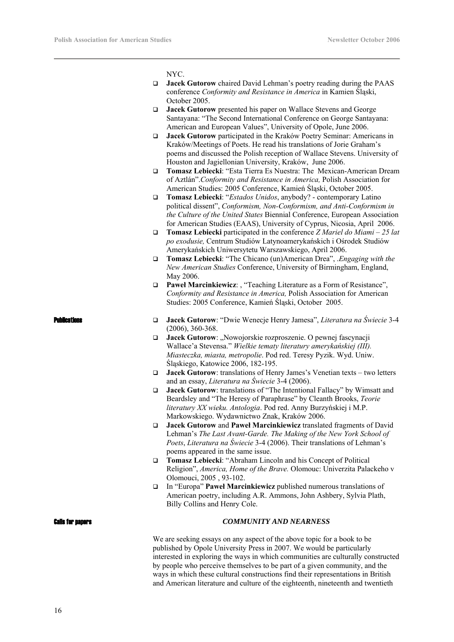NYC.

- **Jacek Gutorow** chaired David Lehman's poetry reading during the PAAS conference *Conformity and Resistance in America* in Kamien Śląski, October 2005.
- **Jacek Gutorow** presented his paper on Wallace Stevens and George Santayana: "The Second International Conference on George Santayana: American and European Values", University of Opole, June 2006.
- **Jacek Gutorow** participated in the Kraków Poetry Seminar: Americans in Kraków/Meetings of Poets. He read his translations of Jorie Graham's poems and discussed the Polish reception of Wallace Stevens. University of Houston and Jagiellonian University, Kraków, June 2006.
- **Tomasz Lebiecki**: "Esta Tierra Es Nuestra: The Mexican-American Dream of Aztlán".*Conformity and Resistance in America,* Polish Association for American Studies: 2005 Conference, Kamień Śląski, October 2005.
- **Tomasz Lebiecki**: "*Estados Unidos*, anybody? contemporary Latino political dissent", *Conformism, Non-Conformism, and Anti-Conformism in the Culture of the United States* Biennial Conference, European Association for American Studies (EAAS), University of Cyprus, Nicosia, April 2006.
- **Tomasz Lebiecki** participated in the conference *Z Mariel do Miami 25 lat po exodusie,* Centrum Studiów Latynoamerykańskich i Ośrodek Studiów Amerykańskich Uniwersytetu Warszawskiego, April 2006.
- **Tomasz Lebiecki**: "The Chicano (un)American Drea", .*Engaging with the New American Studies* Conference, University of Birmingham, England, May 2006.
- **Paweł Marcinkiewicz**: , "Teaching Literature as a Form of Resistance", *Conformity and Resistance in America,* Polish Association for American Studies: 2005 Conference, Kamień Śląski, October 2005.

- Publications **Jacek Gutorow**: "Dwie Wenecje Henry Jamesa", *Literatura na Świecie* 3-4 (2006), 360-368.
	- $\Box$  **Jacek Gutorow**: "Nowojorskie rozproszenie. O pewnej fascynacji Wallace'a Stevensa." *Wielkie tematy literatury amerykańskiej (III). Miasteczka, miasta, metropolie*. Pod red. Teresy Pyzik. Wyd. Uniw. Śląskiego, Katowice 2006, 182-195.
	- **Jacek Gutorow**: translations of Henry James's Venetian texts two letters and an essay, *Literatura na Świecie* 3-4 (2006).
	- **Jacek Gutorow**: translations of "The Intentional Fallacy" by Wimsatt and Beardsley and "The Heresy of Paraphrase" by Cleanth Brooks, *Teorie literatury XX wieku. Antologia*. Pod red. Anny Burzyńskiej i M.P. Markowskiego. Wydawnictwo Znak, Kraków 2006.
	- **Jacek Gutorow** and **Paweł Marcinkiewicz** translated fragments of David Lehman's *The Last Avant-Garde. The Making of the New York School of Poets*, *Literatura na Świecie* 3-4 (2006). Their translations of Lehman's poems appeared in the same issue.
	- **Tomasz Lebiecki**: "Abraham Lincoln and his Concept of Political Religion", *America, Home of the Brave.* Olomouc: Univerzita Palackeho v Olomouci, 2005 , 93-102.
	- In "Europa" **Paweł Marcinkiewicz** published numerous translations of American poetry, including A.R. Ammons, John Ashbery, Sylvia Plath, Billy Collins and Henry Cole.

#### Calls for papers *COMMUNITY AND NEARNESS*

We are seeking essays on any aspect of the above topic for a book to be published by Opole University Press in 2007. We would be particularly interested in exploring the ways in which communities are culturally constructed by people who perceive themselves to be part of a given community, and the ways in which these cultural constructions find their representations in British and American literature and culture of the eighteenth, nineteenth and twentieth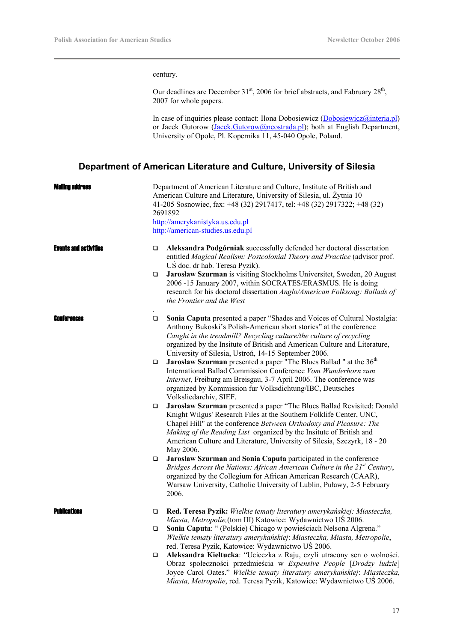century.

Our deadlines are December 31<sup>st</sup>, 2006 for brief abstracts, and Fabruary 28<sup>th</sup>, 2007 for whole papers.

In case of inquiries please contact: Ilona Dobosiewicz (Dobosiewicz @interia.pl) or Jacek Gutorow (Jacek.Gutorow@neostrada.pl); both at English Department, University of Opole, Pl. Kopernika 11, 45-040 Opole, Poland.

## **Department of American Literature and Culture, University of Silesia**

| Walling address              |                            | Department of American Literature and Culture, Institute of British and<br>American Culture and Literature, University of Silesia, ul. Żytnia 10<br>41-205 Sosnowiec, fax: +48 (32) 2917417, tel: +48 (32) 2917322; +48 (32)<br>2691892<br>http://amerykanistyka.us.edu.pl<br>http://american-studies.us.edu.pl                                                                                                                                                                                                                                                                                                                                                                                                                                                                                                                                                                                                                                                                                                                                                                                                                                                                                                                                                                                                                                                                   |
|------------------------------|----------------------------|-----------------------------------------------------------------------------------------------------------------------------------------------------------------------------------------------------------------------------------------------------------------------------------------------------------------------------------------------------------------------------------------------------------------------------------------------------------------------------------------------------------------------------------------------------------------------------------------------------------------------------------------------------------------------------------------------------------------------------------------------------------------------------------------------------------------------------------------------------------------------------------------------------------------------------------------------------------------------------------------------------------------------------------------------------------------------------------------------------------------------------------------------------------------------------------------------------------------------------------------------------------------------------------------------------------------------------------------------------------------------------------|
| <b>Events and activities</b> | $\Box$<br>$\Box$           | Aleksandra Podgórniak successfully defended her doctoral dissertation<br>entitled Magical Realism: Postcolonial Theory and Practice (advisor prof.<br>UŚ doc. dr hab. Teresa Pyzik).<br>Jarosław Szurman is visiting Stockholms Universitet, Sweden, 20 August<br>2006 -15 January 2007, within SOCRATES/ERASMUS. He is doing<br>research for his doctoral dissertation Anglo/American Folksong: Ballads of<br>the Frontier and the West                                                                                                                                                                                                                                                                                                                                                                                                                                                                                                                                                                                                                                                                                                                                                                                                                                                                                                                                          |
| <b>ENNTRPANCAS</b>           | $\Box$<br>$\Box$<br>□<br>□ | Sonia Caputa presented a paper "Shades and Voices of Cultural Nostalgia:<br>Anthony Bukoski's Polish-American short stories" at the conference<br>Caught in the treadmill? Recycling culture/the culture of recycling<br>organized by the Insitute of British and American Culture and Literature,<br>University of Silesia, Ustroń, 14-15 September 2006.<br><b>Jarosław Szurman</b> presented a paper "The Blues Ballad " at the 36 <sup>th</sup><br>International Ballad Commission Conference Vom Wunderhorn zum<br>Internet, Freiburg am Breisgau, 3-7 April 2006. The conference was<br>organized by Kommission fur Volksdichtung/IBC, Deutsches<br>Volksliedarchiv, SIEF.<br>Jarosław Szurman presented a paper "The Blues Ballad Revisited: Donald<br>Knight Wilgus' Research Files at the Southern Folklife Center, UNC,<br>Chapel Hill" at the conference Between Orthodoxy and Pleasure: The<br>Making of the Reading List organized by the Insitute of British and<br>American Culture and Literature, University of Silesia, Szczyrk, 18 - 20<br>May 2006.<br>Jarosław Szurman and Sonia Caputa participated in the conference<br>Bridges Across the Nations: African American Culture in the $21st$ Century,<br>organized by the Collegium for African American Research (CAAR),<br>Warsaw University, Catholic University of Lublin, Puławy, 2-5 February<br>2006. |
| <b>PUNICATIONS</b>           | □<br>□<br>□                | Red. Teresa Pyzik: Wielkie tematy literatury amerykańskiej: Miasteczka,<br>Miasta, Metropolie, (tom III) Katowice: Wydawnictwo UŚ 2006.<br>Sonia Caputa: " (Polskie) Chicago w powieściach Nelsona Algrena."<br>Wielkie tematy literatury amerykańskiej: Miasteczka, Miasta, Metropolie,<br>red. Teresa Pyzik, Katowice: Wydawnictwo UŚ 2006.<br>Aleksandra Kiełtucka: "Ucieczka z Raju, czyli utracony sen o wolności.<br>Obraz społeczności przedmieścia w Expensive People [Drodzy ludzie]<br>Joyce Carol Oates." Wielkie tematy literatury amerykańskiej: Miasteczka,<br>Miasta, Metropolie, red. Teresa Pyzik, Katowice: Wydawnictwo UŚ 2006.                                                                                                                                                                                                                                                                                                                                                                                                                                                                                                                                                                                                                                                                                                                                |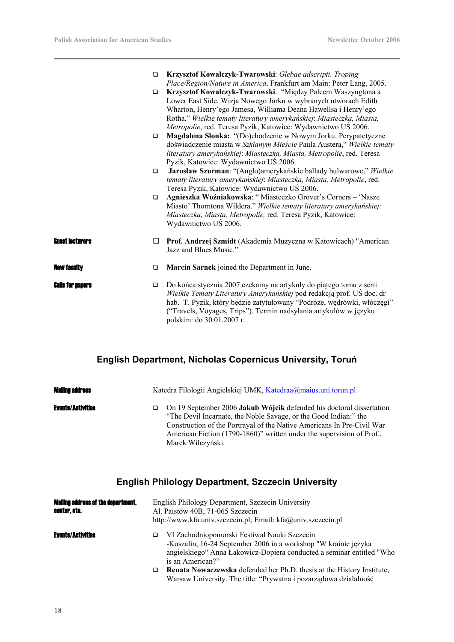|                         | $\Box$<br>$\Box$<br>$\Box$<br>$\Box$<br>$\Box$ | Krzysztof Kowalczyk-Twarowski: Glebae adscripti. Troping<br>Place/Region/Nature in America. Frankfurt am Main: Peter Lang, 2005.<br>Krzysztof Kowalczyk-Twarowski.: "Między Palcem Waszyngtona a<br>Lower East Side. Wizja Nowego Jorku w wybranych utworach Edith<br>Wharton, Henry'ego Jamesa, Williama Deana Hawellsa i Henry'ego<br>Rotha." Wielkie tematy literatury amerykańskiej: Miasteczka, Miasta,<br>Metropolie, red. Teresa Pyzik, Katowice: Wydawnictwo US 2006.<br>Magdalena Słonka:. "(Do)chodzenie w Nowym Jorku. Perypatetyczne<br>doświadczenie miasta w Szklanym Mieście Paula Austera," Wielkie tematy<br>literatury amerykańskiej: Miasteczka, Miasta, Metropolie, red. Teresa<br>Pyzik, Katowice: Wydawnictwo UŚ 2006.<br>Jarosław Szurman: "(Anglo)amerykańskie ballady bulwarowe," Wielkie<br>tematy literatury amerykańskiej: Miasteczka, Miasta, Metropolie, red.<br>Teresa Pyzik, Katowice: Wydawnictwo UŚ 2006.<br>Agnieszka Woźniakowska: "Miasteczko Grover's Corners - 'Nasze<br>Miasto' Thorntona Wildera." Wielkie tematy literatury amerykańskiej:<br>Miasteczka, Miasta, Metropolie, red. Teresa Pyzik, Katowice:<br>Wydawnictwo UŚ 2006. |
|-------------------------|------------------------------------------------|------------------------------------------------------------------------------------------------------------------------------------------------------------------------------------------------------------------------------------------------------------------------------------------------------------------------------------------------------------------------------------------------------------------------------------------------------------------------------------------------------------------------------------------------------------------------------------------------------------------------------------------------------------------------------------------------------------------------------------------------------------------------------------------------------------------------------------------------------------------------------------------------------------------------------------------------------------------------------------------------------------------------------------------------------------------------------------------------------------------------------------------------------------------------------|
| <b>Guest lecturers</b>  | ⊔                                              | Prof. Andrzej Szmidt (Akademia Muzyczna w Katowicach) "American<br>Jazz and Blues Music."                                                                                                                                                                                                                                                                                                                                                                                                                                                                                                                                                                                                                                                                                                                                                                                                                                                                                                                                                                                                                                                                                    |
| <b>New faculty</b>      | $\Box$                                         | Marcin Sarnek joined the Department in June.                                                                                                                                                                                                                                                                                                                                                                                                                                                                                                                                                                                                                                                                                                                                                                                                                                                                                                                                                                                                                                                                                                                                 |
| <b>Calls for napers</b> | $\Box$                                         | Do końca stycznia 2007 czekamy na artykuły do piątego tomu z serii<br>Wielkie Tematy Literatury Amerykańskiej pod redakcją prof. US doc. dr<br>hab. T. Pyzik, który będzie zatytułowany "Podróże, wędrówki, włóczegi"<br>("Travels, Voyages, Trips"). Termin nadsyłania artykułów w języku<br>polskim: do 30.01.2007 r.                                                                                                                                                                                                                                                                                                                                                                                                                                                                                                                                                                                                                                                                                                                                                                                                                                                      |

# **English Department, Nicholas Copernicus University, Toruń**

| <b>Mailing address</b>   | Katedra Filologii Angielskiej UMK, Katedraa@maius.uni.torun.pl |                                                                                                                                                                                                                                                                                                                |
|--------------------------|----------------------------------------------------------------|----------------------------------------------------------------------------------------------------------------------------------------------------------------------------------------------------------------------------------------------------------------------------------------------------------------|
| <b>Events/Activities</b> | ◻                                                              | On 19 September 2006 Jakub Wójcik defended his doctoral dissertation<br>"The Devil Incarnate, the Noble Savage, or the Good Indian:" the<br>Construction of the Portrayal of the Native Americans In Pre-Civil War<br>American Fiction (1790-1860)" written under the supervision of Prof<br>Marek Wilczyński. |

# **English Philology Department, Szczecin University**

| <b>Mailing address of the department,</b><br>center, etc. | English Philology Department, Szczecin University<br>Al. Paistów 40B, 71-065 Szczecin<br>http://www.kfa.univ.szczecin.pl; Email: kfa@univ.szczecin.pl |                                                                                                                                                                                                              |  |
|-----------------------------------------------------------|-------------------------------------------------------------------------------------------------------------------------------------------------------|--------------------------------------------------------------------------------------------------------------------------------------------------------------------------------------------------------------|--|
| <b>Events/Activities</b>                                  | o                                                                                                                                                     | VI Zachodniopomorski Festiwal Nauki Szczecin<br>-Koszalin, 16-24 September 2006 in a workshop "W krainie języka<br>angielskiego" Anna Łakowicz-Dopiera conducted a seminar entitled "Who<br>is an American?" |  |
|                                                           | ◻                                                                                                                                                     | Renata Nowaczewska defended her Ph.D. thesis at the History Institute,<br>Warsaw University. The title: "Prywatna i pozarządowa działalność                                                                  |  |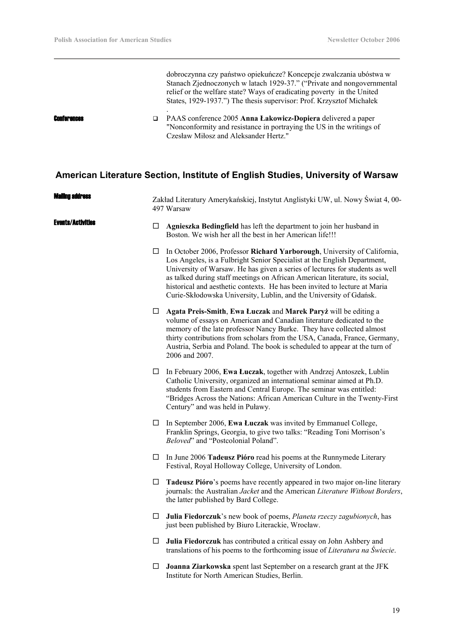$\overline{\phantom{a}}$ 

|                    | dobroczynna czy państwo opiekuńcze? Koncepcje zwalczania ubóstwa w<br>Stanach Zjednoczonych w latach 1929-37." ("Private and nongovernmental<br>relief or the welfare state? Ways of eradicating poverty in the United<br>States, 1929-1937.") The thesis supervisor: Prof. Krzysztof Michałek |
|--------------------|------------------------------------------------------------------------------------------------------------------------------------------------------------------------------------------------------------------------------------------------------------------------------------------------|
| <b>Conferences</b> | PAAS conference 2005 Anna Lakowicz-Dopiera delivered a paper<br>"Nonconformity and resistance in portraying the US in the writings of<br>Czesław Miłosz and Aleksander Hertz."                                                                                                                 |

# **American Literature Section, Institute of English Studies, University of Warsaw**

| M <b>ailing address</b>  |        | Zakład Literatury Amerykańskiej, Instytut Anglistyki UW, ul. Nowy Świat 4, 00-<br>497 Warsaw                                                                                                                                                                                                                                                                                                                                                                            |  |
|--------------------------|--------|-------------------------------------------------------------------------------------------------------------------------------------------------------------------------------------------------------------------------------------------------------------------------------------------------------------------------------------------------------------------------------------------------------------------------------------------------------------------------|--|
| <b>Events/Activities</b> | □      | Agnieszka Bedingfield has left the department to join her husband in<br>Boston. We wish her all the best in her American life!!!                                                                                                                                                                                                                                                                                                                                        |  |
|                          | ப      | In October 2006, Professor Richard Yarborough, University of California,<br>Los Angeles, is a Fulbright Senior Specialist at the English Department,<br>University of Warsaw. He has given a series of lectures for students as well<br>as talked during staff meetings on African American literature, its social,<br>historical and aesthetic contexts. He has been invited to lecture at Maria<br>Curie-Skłodowska University, Lublin, and the University of Gdańsk. |  |
|                          | $\Box$ | Agata Preis-Smith, Ewa Łuczak and Marek Paryż will be editing a<br>volume of essays on American and Canadian literature dedicated to the<br>memory of the late professor Nancy Burke. They have collected almost<br>thirty contributions from scholars from the USA, Canada, France, Germany,<br>Austria, Serbia and Poland. The book is scheduled to appear at the turn of<br>2006 and 2007.                                                                           |  |
|                          | $\Box$ | In February 2006, Ewa Łuczak, together with Andrzej Antoszek, Lublin<br>Catholic University, organized an international seminar aimed at Ph.D.<br>students from Eastern and Central Europe. The seminar was entitled:<br>"Bridges Across the Nations: African American Culture in the Twenty-First<br>Century" and was held in Puławy.                                                                                                                                  |  |
|                          | $\Box$ | In September 2006, Ewa Łuczak was invited by Emmanuel College,<br>Franklin Springs, Georgia, to give two talks: "Reading Toni Morrison's<br>Beloved" and "Postcolonial Poland".                                                                                                                                                                                                                                                                                         |  |
|                          | $\Box$ | In June 2006 Tadeusz Pióro read his poems at the Runnymede Literary<br>Festival, Royal Holloway College, University of London.                                                                                                                                                                                                                                                                                                                                          |  |
|                          | ப      | Tadeusz Pióro's poems have recently appeared in two major on-line literary<br>journals: the Australian Jacket and the American Literature Without Borders,<br>the latter published by Bard College.                                                                                                                                                                                                                                                                     |  |
|                          | $\Box$ | Julia Fiedorczuk's new book of poems, Planeta rzeczy zagubionych, has<br>just been published by Biuro Literackie, Wrocław.                                                                                                                                                                                                                                                                                                                                              |  |
|                          | $\Box$ | Julia Fiedorczuk has contributed a critical essay on John Ashbery and<br>translations of his poems to the forthcoming issue of <i>Literatura na Świecie</i> .                                                                                                                                                                                                                                                                                                           |  |
|                          | $\Box$ | Joanna Ziarkowska spent last September on a research grant at the JFK<br>Institute for North American Studies, Berlin.                                                                                                                                                                                                                                                                                                                                                  |  |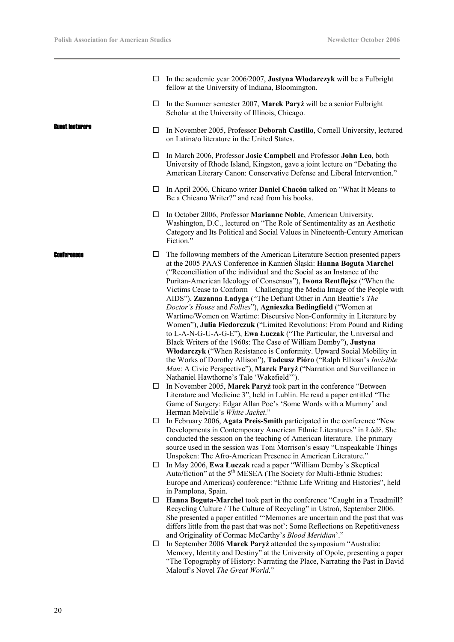|                         | In the academic year 2006/2007, Justyna Włodarczyk will be a Fulbright<br>fellow at the University of Indiana, Bloomington.                                                                                                                                                                                                                                                                                                                                                                                                                                                                                                                                                                                                                                                                                                                                                                                                                                                                                                                                                                       |
|-------------------------|---------------------------------------------------------------------------------------------------------------------------------------------------------------------------------------------------------------------------------------------------------------------------------------------------------------------------------------------------------------------------------------------------------------------------------------------------------------------------------------------------------------------------------------------------------------------------------------------------------------------------------------------------------------------------------------------------------------------------------------------------------------------------------------------------------------------------------------------------------------------------------------------------------------------------------------------------------------------------------------------------------------------------------------------------------------------------------------------------|
| ப                       | In the Summer semester 2007, Marek Paryż will be a senior Fulbright<br>Scholar at the University of Illinois, Chicago.                                                                                                                                                                                                                                                                                                                                                                                                                                                                                                                                                                                                                                                                                                                                                                                                                                                                                                                                                                            |
| Guest Incturers<br>⊔    | In November 2005, Professor Deborah Castillo, Cornell University, lectured<br>on Latina/o literature in the United States.                                                                                                                                                                                                                                                                                                                                                                                                                                                                                                                                                                                                                                                                                                                                                                                                                                                                                                                                                                        |
| □                       | In March 2006, Professor Josie Campbell and Professor John Leo, both<br>University of Rhode Island, Kingston, gave a joint lecture on "Debating the<br>American Literary Canon: Conservative Defense and Liberal Intervention."                                                                                                                                                                                                                                                                                                                                                                                                                                                                                                                                                                                                                                                                                                                                                                                                                                                                   |
| $\Box$                  | In April 2006, Chicano writer <b>Daniel Chacón</b> talked on "What It Means to<br>Be a Chicano Writer?" and read from his books.                                                                                                                                                                                                                                                                                                                                                                                                                                                                                                                                                                                                                                                                                                                                                                                                                                                                                                                                                                  |
| □                       | In October 2006, Professor Marianne Noble, American University,<br>Washington, D.C., lectured on "The Role of Sentimentality as an Aesthetic<br>Category and Its Political and Social Values in Nineteenth-Century American<br>Fiction."                                                                                                                                                                                                                                                                                                                                                                                                                                                                                                                                                                                                                                                                                                                                                                                                                                                          |
| □<br><b>Conferences</b> | The following members of the American Literature Section presented papers<br>at the 2005 PAAS Conference in Kamień Śląski: Hanna Boguta Marchel<br>("Reconciliation of the individual and the Social as an Instance of the<br>Puritan-American Ideology of Consensus"), Iwona Rentflejsz ("When the<br>Victims Cease to Conform - Challenging the Media Image of the People with<br>AIDS"), Zuzanna Ładyga ("The Defiant Other in Ann Beattie's The<br>Doctor's House and Follies"), Agnieszka Bedingfield ("Women at<br>Wartime/Women on Wartime: Discursive Non-Conformity in Literature by<br>Women"), Julia Fiedorczuk ("Limited Revolutions: From Pound and Riding<br>to L-A-N-G-U-A-G-E"), Ewa Łuczak ("The Particular, the Universal and<br>Black Writers of the 1960s: The Case of William Demby"), Justyna<br>Włodarczyk ("When Resistance is Conformity. Upward Social Mobility in<br>the Works of Dorothy Allison"), Tadeusz Pióro ("Ralph Elliosn's Invisible<br>Man: A Civic Perspective"), Marek Paryż ("Narration and Surveillance in<br>Nathaniel Hawthorne's Tale 'Wakefield'"). |
| $\Box$                  | In November 2005, Marek Paryż took part in the conference "Between<br>Literature and Medicine 3", held in Lublin. He read a paper entitled "The<br>Game of Surgery: Edgar Allan Poe's 'Some Words with a Mummy' and<br>Herman Melville's White Jacket."                                                                                                                                                                                                                                                                                                                                                                                                                                                                                                                                                                                                                                                                                                                                                                                                                                           |
|                         | In February 2006, Agata Preis-Smith participated in the conference "New<br>Developments in Contemporary American Ethnic Literatures" in Łódź. She<br>conducted the session on the teaching of American literature. The primary<br>source used in the session was Toni Morrison's essay "Unspeakable Things<br>Unspoken: The Afro-American Presence in American Literature."                                                                                                                                                                                                                                                                                                                                                                                                                                                                                                                                                                                                                                                                                                                       |
| $\Box$                  | In May 2006, Ewa Luczak read a paper "William Demby's Skeptical<br>Auto/fiction" at the 5 <sup>th</sup> MESEA (The Society for Multi-Ethnic Studies:<br>Europe and Americas) conference: "Ethnic Life Writing and Histories", held<br>in Pamplona, Spain.                                                                                                                                                                                                                                                                                                                                                                                                                                                                                                                                                                                                                                                                                                                                                                                                                                         |
| □                       | Hanna Boguta-Marchel took part in the conference "Caught in a Treadmill?<br>Recycling Culture / The Culture of Recycling" in Ustroń, September 2006.<br>She presented a paper entitled "'Memories are uncertain and the past that was<br>differs little from the past that was not': Some Reflections on Repetitiveness<br>and Originality of Cormac McCarthy's Blood Meridian'."                                                                                                                                                                                                                                                                                                                                                                                                                                                                                                                                                                                                                                                                                                                 |
| $\Box$                  | In September 2006 Marek Paryż attended the symposium "Australia:<br>Memory, Identity and Destiny" at the University of Opole, presenting a paper<br>"The Topography of History: Narrating the Place, Narrating the Past in David<br>Malouf's Novel The Great World."                                                                                                                                                                                                                                                                                                                                                                                                                                                                                                                                                                                                                                                                                                                                                                                                                              |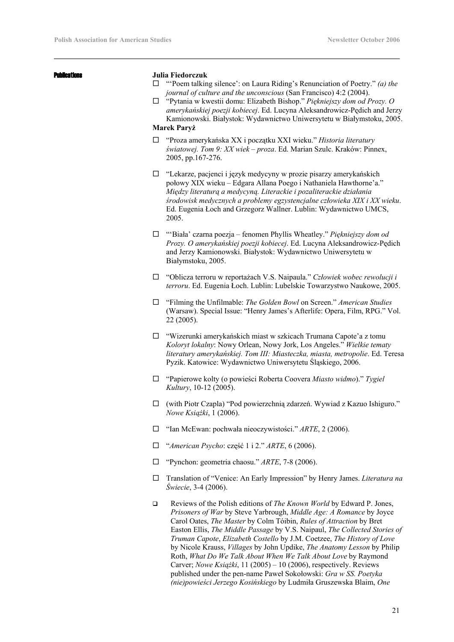|  | п      |  |
|--|--------|--|
|  | ı<br>I |  |
|  |        |  |

#### Publications **Julia Fiedorczuk**

- □ "Poem talking silence': on Laura Riding's Renunciation of Poetry." *(a) the journal of culture and the unconscious* (San Francisco) 4:2 (2004).
- "Pytania w kwestii domu: Elizabeth Bishop." *Piękniejszy dom od Prozy. O amerykańskiej poezji kobiecej*. Ed. Lucyna Aleksandrowicz-Pędich and Jerzy Kamionowski. Białystok: Wydawnictwo Uniwersytetu w Białymstoku, 2005.

## **Marek Paryż**

- "Proza amerykańska XX i początku XXI wieku." *Historia literatury światowej. Tom 9: XX wiek – proza*. Ed. Marian Szulc. Kraków: Pinnex, 2005, pp.167-276.
- "Lekarze, pacjenci i język medycyny w prozie pisarzy amerykańskich połowy XIX wieku – Edgara Allana Poego i Nathaniela Hawthorne'a." *Między literaturą a medycyną. Literackie i pozaliterackie działania środowisk medycznych a problemy egzystencjalne człowieka XIX i XX wieku*. Ed. Eugenia Łoch and Grzegorz Wallner. Lublin: Wydawnictwo UMCS, 2005.
- "'Biała' czarna poezja fenomen Phyllis Wheatley." *Piękniejszy dom od Prozy. O amerykańskiej poezji kobiecej*. Ed. Lucyna Aleksandrowicz-Pędich and Jerzy Kamionowski. Białystok: Wydawnictwo Uniwersytetu w Białymstoku, 2005.
- "Oblicza terroru w reportażach V.S. Naipaula." *Człowiek wobec rewolucji i terroru*. Ed. Eugenia Łoch. Lublin: Lubelskie Towarzystwo Naukowe, 2005.
- "Filming the Unfilmable: *The Golden Bowl* on Screen." *American Studies* (Warsaw). Special Issue: "Henry James's Afterlife: Opera, Film, RPG." Vol. 22 (2005).
- "Wizerunki amerykańskich miast w szkicach Trumana Capote'a z tomu *Koloryt lokalny*: Nowy Orlean, Nowy Jork, Los Angeles." *Wielkie tematy literatury amerykańskiej. Tom III: Miasteczka, miasta, metropolie*. Ed. Teresa Pyzik. Katowice: Wydawnictwo Uniwersytetu Śląskiego, 2006.
- "Papierowe kolty (o powieści Roberta Coovera *Miasto widmo*)." *Tygiel Kultury*, 10-12 (2005).
- (with Piotr Czapla) "Pod powierzchnią zdarzeń. Wywiad z Kazuo Ishiguro." *Nowe Książki*, 1 (2006).
- "Ian McEwan: pochwała nieoczywistości." *ARTE*, 2 (2006).
- "*American Psycho*: część 1 i 2." *ARTE*, 6 (2006).
- "Pynchon: geometria chaosu." *ARTE*, 7-8 (2006).
- Translation of "Venice: An Early Impression" by Henry James. *Literatura na Świecie*, 3-4 (2006).
- Reviews of the Polish editions of *The Known World* by Edward P. Jones, *Prisoners of War* by Steve Yarbrough, *Middle Age: A Romance* by Joyce Carol Oates, *The Master* by Colm Tóibin, *Rules of Attraction* by Bret Easton Ellis, *The Middle Passage* by V.S. Naipaul, *The Collected Stories of Truman Capote*, *Elizabeth Costello* by J.M. Coetzee, *The History of Love* by Nicole Krauss, *Villages* by John Updike, *The Anatomy Lesson* by Philip Roth, *What Do We Talk About When We Talk About Love* by Raymond Carver; *Nowe Książki*, 11 (2005) – 10 (2006), respectively. Reviews published under the pen-name Paweł Sokołowski: *Gra w SS. Poetyka (nie)powieści Jerzego Kosińskiego* by Ludmiła Gruszewska Blaim, *One*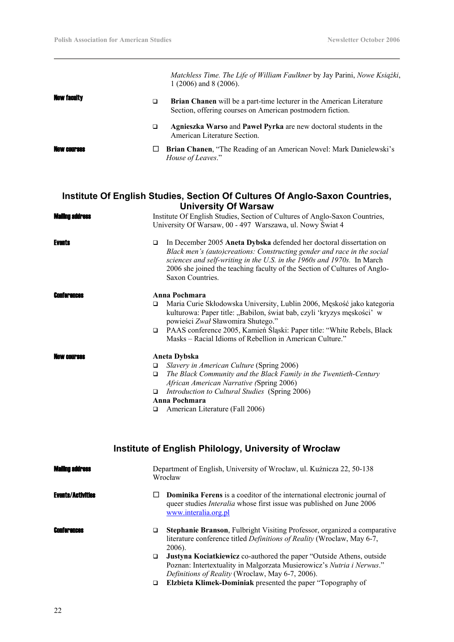|                       |             | Matchless Time. The Life of William Faulkner by Jay Parini, Nowe Książki,<br>1 (2006) and 8 (2006).                                                                                                                                                                                                                       |
|-----------------------|-------------|---------------------------------------------------------------------------------------------------------------------------------------------------------------------------------------------------------------------------------------------------------------------------------------------------------------------------|
| <b>New faculty</b>    | $\Box$      | Brian Chanen will be a part-time lecturer in the American Literature<br>Section, offering courses on American postmodern fiction.                                                                                                                                                                                         |
|                       | □           | Agnieszka Warso and Paweł Pyrka are new doctoral students in the<br>American Literature Section.                                                                                                                                                                                                                          |
| <b>AW CAIIPRAS</b>    | □           | Brian Chanen, "The Reading of an American Novel: Mark Danielewski's<br>House of Leaves."                                                                                                                                                                                                                                  |
|                       |             | Institute Of English Studies, Section Of Cultures Of Anglo-Saxon Countries,<br><b>University Of Warsaw</b>                                                                                                                                                                                                                |
| <b>Maling address</b> |             | Institute Of English Studies, Section of Cultures of Anglo-Saxon Countries,<br>University Of Warsaw, 00 - 497 Warszawa, ul. Nowy Świat 4                                                                                                                                                                                  |
| <b>Events</b>         | □           | In December 2005 Aneta Dybska defended her doctoral dissertation on<br>Black men's (auto)creations: Constructing gender and race in the social<br>sciences and self-writing in the U.S. in the 1960s and 1970s. In March<br>2006 she joined the teaching faculty of the Section of Cultures of Anglo-<br>Saxon Countries. |
| Conferences           |             | Anna Pochmara                                                                                                                                                                                                                                                                                                             |
|                       | □<br>$\Box$ | Maria Curie Skłodowska University, Lublin 2006, Męskość jako kategoria<br>kulturowa: Paper title: "Babilon, świat bab, czyli 'kryzys męskości' w<br>powieści Zwał Sławomira Shutego."<br>PAAS conference 2005, Kamień Śląski: Paper title: "White Rebels, Black                                                           |
|                       |             | Masks – Racial Idioms of Rebellion in American Culture."                                                                                                                                                                                                                                                                  |
|                       |             | <b>Aneta Dybska</b>                                                                                                                                                                                                                                                                                                       |
|                       | $\Box$      | Slavery in American Culture (Spring 2006)                                                                                                                                                                                                                                                                                 |
|                       | $\Box$      | The Black Community and the Black Family in the Twentieth-Century<br>African American Narrative (Spring 2006)                                                                                                                                                                                                             |
|                       | $\Box$      | Introduction to Cultural Studies (Spring 2006)                                                                                                                                                                                                                                                                            |
|                       |             | Anna Pochmara                                                                                                                                                                                                                                                                                                             |
|                       | $\Box$      | American Literature (Fall 2006)                                                                                                                                                                                                                                                                                           |
|                       |             |                                                                                                                                                                                                                                                                                                                           |

# **Institute of English Philology, University of Wrocław**

| <b>Mailing address</b>   | Department of English, University of Wrocław, ul. Kuźnicza 22, 50-138<br>Wrocław                                                                                                       |
|--------------------------|----------------------------------------------------------------------------------------------------------------------------------------------------------------------------------------|
| <b>Events/Activities</b> | <b>Dominika Ferens</b> is a coeditor of the international electronic journal of<br>queer studies <i>Interalia</i> whose first issue was published on June 2006<br>www.interalia.org.pl |
| <b>Conferences</b>       | Stephanie Branson, Fulbright Visiting Professor, organized a comparative<br>□<br>literature conference titled <i>Definitions of Reality</i> (Wroclaw, May 6-7,<br>2006).               |
|                          | <b>Justyna Kociatkiewicz co-authored the paper "Outside Athens, outside</b><br>□                                                                                                       |
|                          | Poznan: Intertextuality in Malgorzata Musierowicz's Nutria i Nerwus."                                                                                                                  |
|                          | Definitions of Reality (Wroclaw, May 6-7, 2006).                                                                                                                                       |
|                          | <b>Elzbieta Klimek-Dominiak</b> presented the paper "Topography of<br>□                                                                                                                |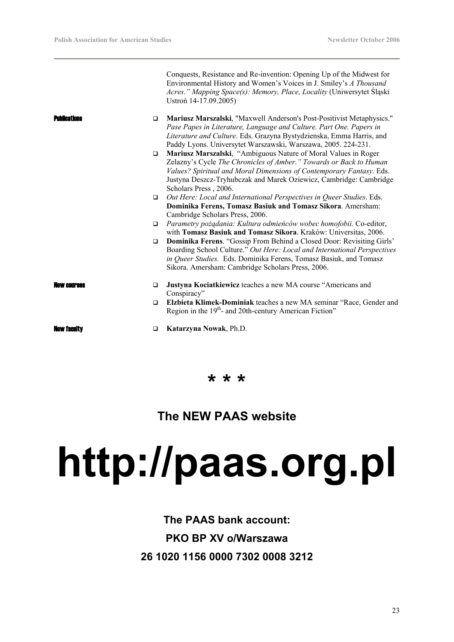|                     |        | Conquests, Resistance and Re-invention: Opening Up of the Midwest for<br>Environmental History and Women's Voices in J. Smiley's A Thousand<br>Acres." Mapping Space(s): Memory, Place, Locality (Uniwersytet Śląski<br>Ustroń 14-17.09.2005)                                                               |
|---------------------|--------|-------------------------------------------------------------------------------------------------------------------------------------------------------------------------------------------------------------------------------------------------------------------------------------------------------------|
| <b>Publications</b> | $\Box$ | Mariusz Marszalski, "Maxwell Anderson's Post-Positivist Metaphysics."<br>Pase Papes in Literature, Language and Culture. Part One. Papers in<br>Literature and Culture. Eds. Grazyna Bystydzienska, Emma Harris, and<br>Paddy Lyons. Universytet Warszawski, Warszawa, 2005. 224-231.                       |
|                     | $\Box$ | Mariusz Marszalski, "Ambiguous Nature of Moral Values in Roger<br>Zelazny's Cycle The Chronicles of Amber." Towards or Back to Human<br>Values? Spiritual and Moral Dimensions of Contemporary Fantasy. Eds.<br>Justyna Deszcz-Tryhubczak and Marek Oziewicz, Cambridge: Cambridge<br>Scholars Press, 2006. |
|                     | $\Box$ | Out Here: Local and International Perspectives in Queer Studies. Eds.<br>Dominika Ferens, Tomasz Basiuk and Tomasz Sikora. Amersham:<br>Cambridge Scholars Press, 2006.                                                                                                                                     |
|                     | $\Box$ | Parametry pożądania: Kultura odmieńców wobec homofobii. Co-editor,<br>with Tomasz Basiuk and Tomasz Sikora. Kraków: Universitas, 2006.                                                                                                                                                                      |
|                     | $\Box$ | Dominika Ferens. "Gossip From Behind a Closed Door: Revisiting Girls'<br>Boarding School Culture." Out Here: Local and International Perspectives<br>in Queer Studies. Eds. Dominika Ferens, Tomasz Basiuk, and Tomasz<br>Sikora. Amersham: Cambridge Scholars Press, 2006.                                 |
| law eniiraas        | □      | Justyna Kociatkiewicz teaches a new MA course "Americans and<br>Conspiracy"                                                                                                                                                                                                                                 |
|                     | $\Box$ | Elzbieta Klimek-Dominiak teaches a new MA seminar "Race, Gender and<br>Region in the 19 <sup>th</sup> - and 20th-century American Fiction"                                                                                                                                                                  |
| <b>New faculty</b>  | □      | Katarzyna Nowak, Ph.D.                                                                                                                                                                                                                                                                                      |
|                     |        |                                                                                                                                                                                                                                                                                                             |

**\* \* \*** 

# **The NEW PAAS website**

# **http://paas.org.pl**

**The PAAS bank account: PKO BP XV o/Warszawa 26 1020 1156 0000 7302 0008 3212**